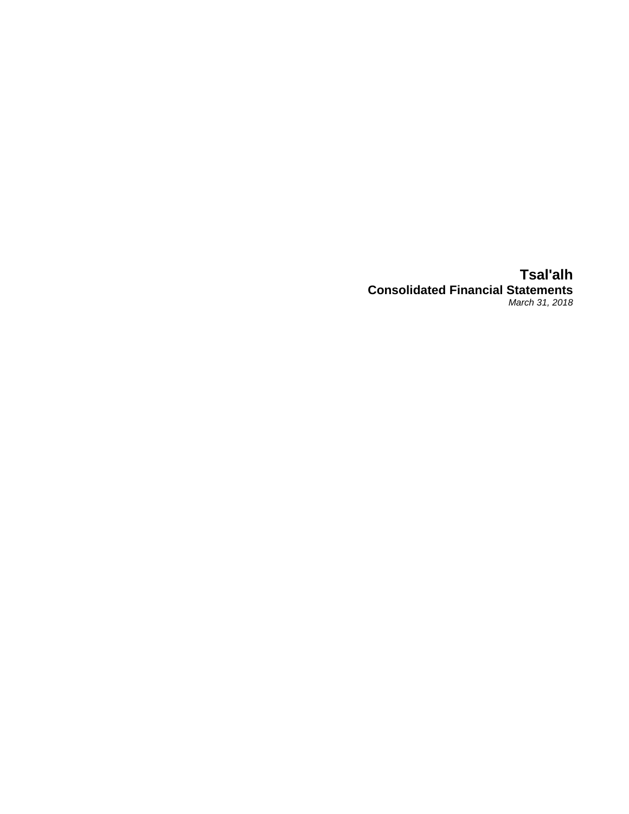## **Tsal'alh Consolidated Financial Statements** *March 31, 2018*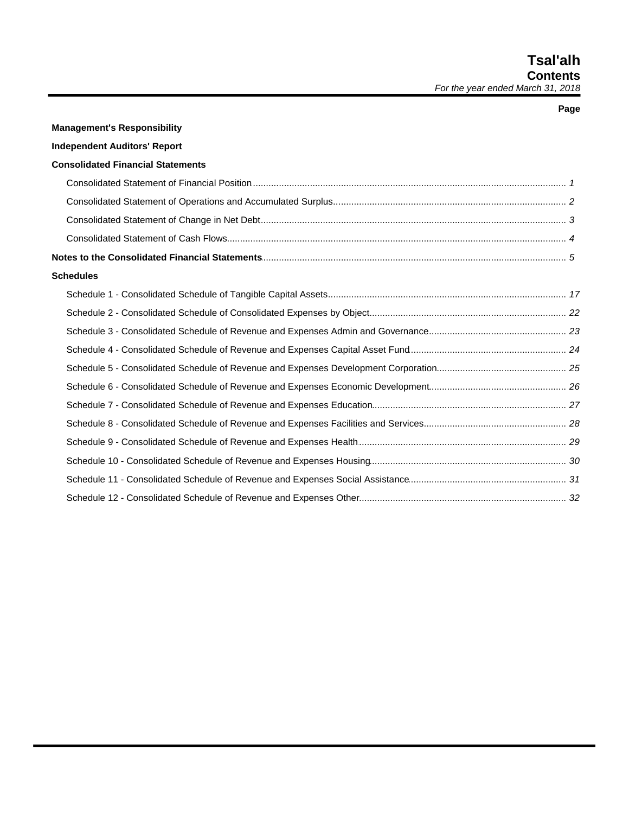## Page

| <b>Management's Responsibility</b>       |  |
|------------------------------------------|--|
| <b>Independent Auditors' Report</b>      |  |
| <b>Consolidated Financial Statements</b> |  |
|                                          |  |
|                                          |  |
|                                          |  |
|                                          |  |
|                                          |  |
| <b>Schedules</b>                         |  |
|                                          |  |
|                                          |  |
|                                          |  |
|                                          |  |
|                                          |  |
|                                          |  |
|                                          |  |
|                                          |  |
|                                          |  |
|                                          |  |
|                                          |  |
|                                          |  |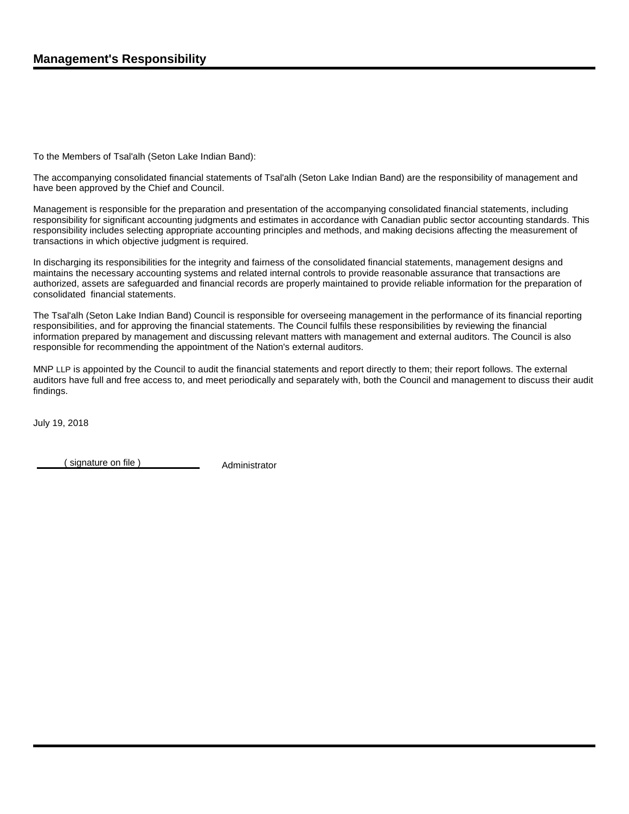To the Members of Tsal'alh (Seton Lake Indian Band):

The accompanying consolidated financial statements of Tsal'alh (Seton Lake Indian Band) are the responsibility of management and have been approved by the Chief and Council.

Management is responsible for the preparation and presentation of the accompanying consolidated financial statements, including responsibility for significant accounting judgments and estimates in accordance with Canadian public sector accounting standards. This responsibility includes selecting appropriate accounting principles and methods, and making decisions affecting the measurement of transactions in which objective judgment is required.

In discharging its responsibilities for the integrity and fairness of the consolidated financial statements, management designs and maintains the necessary accounting systems and related internal controls to provide reasonable assurance that transactions are authorized, assets are safeguarded and financial records are properly maintained to provide reliable information for the preparation of consolidated financial statements.

The Tsal'alh (Seton Lake Indian Band) Council is responsible for overseeing management in the performance of its financial reporting responsibilities, and for approving the financial statements. The Council fulfils these responsibilities by reviewing the financial information prepared by management and discussing relevant matters with management and external auditors. The Council is also responsible for recommending the appointment of the Nation's external auditors.

MNP LLP is appointed by the Council to audit the financial statements and report directly to them; their report follows. The external auditors have full and free access to, and meet periodically and separately with, both the Council and management to discuss their audit findings.

July 19, 2018

Administrator ( signature on file )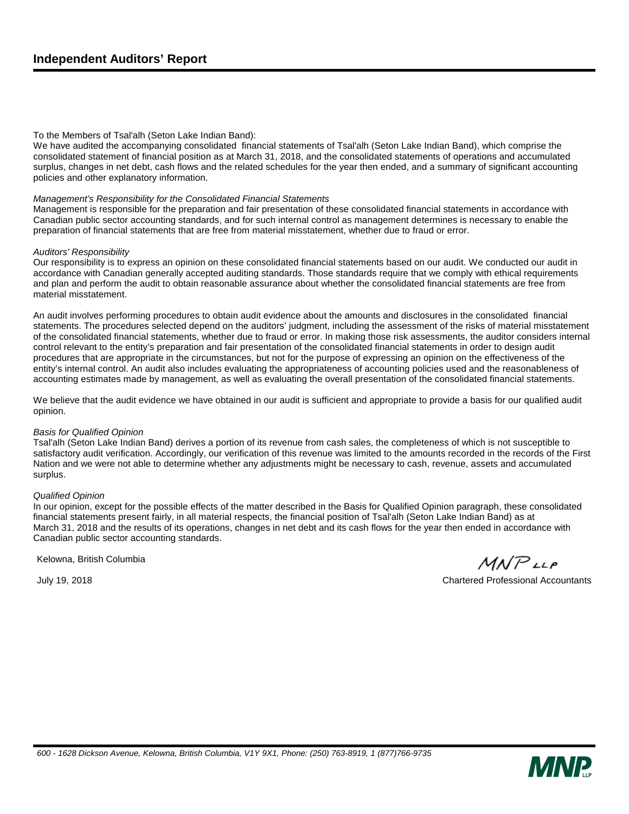#### To the Members of Tsal'alh (Seton Lake Indian Band):

We have audited the accompanying consolidated financial statements of Tsal'alh (Seton Lake Indian Band), which comprise the consolidated statement of financial position as at March 31, 2018, and the consolidated statements of operations and accumulated surplus, changes in net debt, cash flows and the related schedules for the year then ended, and a summary of significant accounting policies and other explanatory information.

#### *Management's Responsibility for the Consolidated Financial Statements*

Management is responsible for the preparation and fair presentation of these consolidated financial statements in accordance with Canadian public sector accounting standards, and for such internal control as management determines is necessary to enable the preparation of financial statements that are free from material misstatement, whether due to fraud or error.

#### *Auditors' Responsibility*

Our responsibility is to express an opinion on these consolidated financial statements based on our audit. We conducted our audit in accordance with Canadian generally accepted auditing standards. Those standards require that we comply with ethical requirements and plan and perform the audit to obtain reasonable assurance about whether the consolidated financial statements are free from material misstatement.

An audit involves performing procedures to obtain audit evidence about the amounts and disclosures in the consolidated financial statements. The procedures selected depend on the auditors' judgment, including the assessment of the risks of material misstatement of the consolidated financial statements, whether due to fraud or error. In making those risk assessments, the auditor considers internal control relevant to the entity's preparation and fair presentation of the consolidated financial statements in order to design audit procedures that are appropriate in the circumstances, but not for the purpose of expressing an opinion on the effectiveness of the entity's internal control. An audit also includes evaluating the appropriateness of accounting policies used and the reasonableness of accounting estimates made by management, as well as evaluating the overall presentation of the consolidated financial statements.

We believe that the audit evidence we have obtained in our audit is sufficient and appropriate to provide a basis for our qualified audit opinion.

#### *Basis for Qualified Opinion*

Tsal'alh (Seton Lake Indian Band) derives a portion of its revenue from cash sales, the completeness of which is not susceptible to satisfactory audit verification. Accordingly, our verification of this revenue was limited to the amounts recorded in the records of the First Nation and we were not able to determine whether any adjustments might be necessary to cash, revenue, assets and accumulated surplus.

#### *Qualified Opinion*

In our opinion, except for the possible effects of the matter described in the Basis for Qualified Opinion paragraph, these consolidated financial statements present fairly, in all material respects, the financial position of Tsal'alh (Seton Lake Indian Band) as at March 31, 2018 and the results of its operations, changes in net debt and its cash flows for the year then ended in accordance with Canadian public sector accounting standards.

Kelowna, British Columbia

July 19, 2018 Chartered Professional Accountants

 $MNPLP$ 

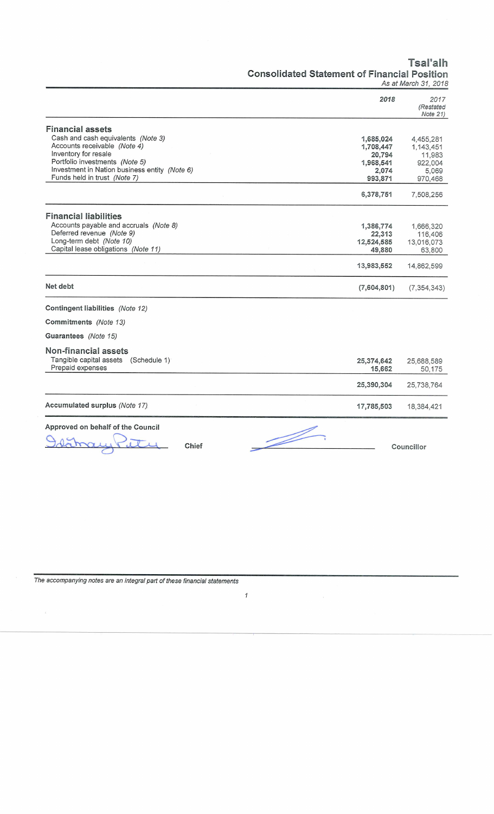Tsal'alh **Consolidated Statement of Financial Position** As at March 31, 2018

2018 2017 (Restated Note 21) **Financial assets** Cash and cash equivalents (Note 3) 1,685,024 4.455.281 Accounts receivable (Note  $4$ ) 1,708,447 1,143,451 Inventory for resale 20,794 11,983 Portfolio investments (Note 5) 1,968,541 922,004 Investment in Nation business entity (Note 6) 2,074 5,069 Funds held in trust (Note 7) 993,871 970,468 6,378,751 7,508,256 **Financial liabilities** Accounts payable and accruals (Note 8) 1,386,774 1,666,320 Deferred revenue (Note 9) 22,313 116,406 Long-term debt (Note 10) 12,524,585 13,016,073 Capital lease obligations (Note 11) 49,880 63,800 13,983,552 14,862,599 Net debt  $(7,604,801)$  $(7, 354, 343)$ Contingent liabilities (Note 12) Commitments (Note 13) Guarantees (Note 15) **Non-financial assets** Tangible capital assets (Schedule 1) 25,374,642 25,688,589 Prepaid expenses 15,662 50,175 25,390,304 25,738,764 Accumulated surplus (Note 17) 17,785,503 18,384,421 Approved on behalf of the Council

Chief

 $\mathbb{Z}$ 

Councillor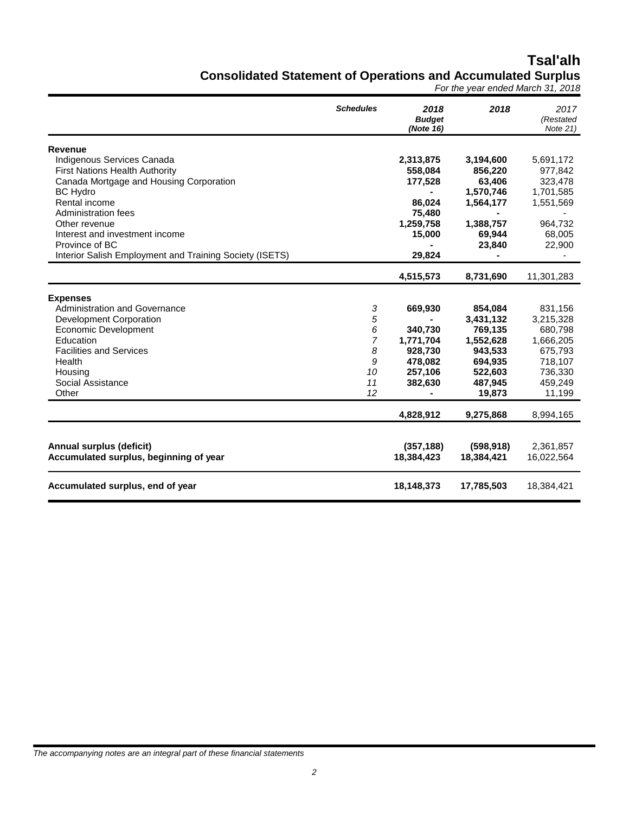## **Tsal'alh Consolidated Statement of Operations and Accumulated Surplus**

|                                                         | <b>Schedules</b> | 2018<br><b>Budget</b><br>(Note 16) | 2018              | 2017<br>(Restated<br>Note $21$ ) |
|---------------------------------------------------------|------------------|------------------------------------|-------------------|----------------------------------|
| <b>Revenue</b>                                          |                  |                                    |                   |                                  |
| Indigenous Services Canada                              |                  | 2,313,875                          | 3,194,600         | 5,691,172                        |
| <b>First Nations Health Authority</b>                   |                  | 558.084                            | 856,220           | 977,842                          |
| Canada Mortgage and Housing Corporation                 |                  | 177,528                            | 63,406            | 323,478                          |
| <b>BC Hydro</b>                                         |                  |                                    | 1,570,746         | 1,701,585                        |
| Rental income                                           |                  | 86,024                             | 1,564,177         | 1,551,569                        |
| Administration fees                                     |                  | 75,480                             |                   |                                  |
| Other revenue                                           |                  | 1,259,758                          | 1,388,757         | 964,732                          |
| Interest and investment income                          |                  | 15,000                             | 69,944            | 68,005                           |
| Province of BC                                          |                  |                                    | 23,840            | 22,900                           |
| Interior Salish Employment and Training Society (ISETS) |                  | 29,824                             |                   |                                  |
|                                                         |                  | 4,515,573                          | 8,731,690         | 11,301,283                       |
|                                                         |                  |                                    |                   |                                  |
| <b>Expenses</b>                                         |                  |                                    |                   |                                  |
| Administration and Governance                           | 3                | 669,930                            | 854,084           | 831,156                          |
| Development Corporation                                 | 5                |                                    | 3,431,132         | 3,215,328                        |
| Economic Development                                    | 6                | 340,730                            | 769,135           | 680,798                          |
| Education                                               | 7                | 1,771,704                          | 1,552,628         | 1,666,205                        |
| <b>Facilities and Services</b>                          | 8                | 928,730                            | 943,533           | 675,793                          |
| Health                                                  | 9<br>10          | 478,082                            | 694,935           | 718,107                          |
| Housing<br>Social Assistance                            | 11               | 257,106                            | 522,603           | 736,330                          |
| Other                                                   | 12               | 382,630                            | 487,945<br>19,873 | 459,249<br>11,199                |
|                                                         |                  |                                    |                   |                                  |
|                                                         |                  | 4,828,912                          | 9,275,868         | 8,994,165                        |
|                                                         |                  |                                    |                   |                                  |
| Annual surplus (deficit)                                |                  | (357, 188)                         | (598, 918)        | 2,361,857                        |
| Accumulated surplus, beginning of year                  |                  | 18,384,423                         | 18,384,421        | 16,022,564                       |
| Accumulated surplus, end of year                        |                  | 18,148,373                         | 17,785,503        | 18,384,421                       |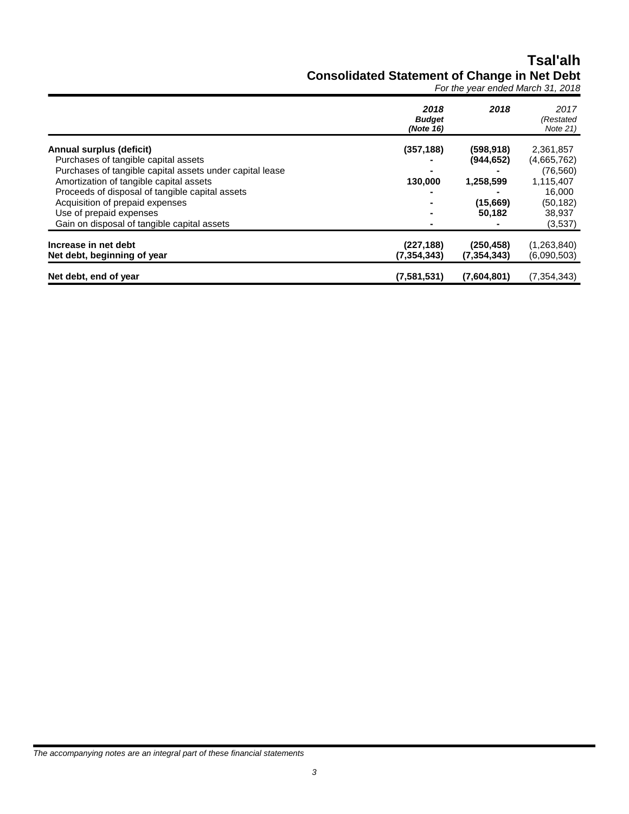## **Tsal'alh Consolidated Statement of Change in Net Debt**

*For the year ended March 31, 2018*

|                                                          | 2018<br><b>Budget</b><br>(Note 16) | 2018          | 2017<br>(Restated<br>Note $21$ ) |
|----------------------------------------------------------|------------------------------------|---------------|----------------------------------|
| Annual surplus (deficit)                                 | (357, 188)                         | (598, 918)    | 2,361,857                        |
| Purchases of tangible capital assets                     |                                    | (944, 652)    | (4,665,762)                      |
| Purchases of tangible capital assets under capital lease |                                    |               | (76, 560)                        |
| Amortization of tangible capital assets                  | 130,000                            | 1,258,599     | 1,115,407                        |
| Proceeds of disposal of tangible capital assets          |                                    |               | 16,000                           |
| Acquisition of prepaid expenses                          |                                    | (15,669)      | (50, 182)                        |
| Use of prepaid expenses                                  |                                    | 50,182        | 38,937                           |
| Gain on disposal of tangible capital assets              |                                    |               | (3,537)                          |
| Increase in net debt                                     | (227, 188)                         | (250, 458)    | (1,263,840)                      |
| Net debt, beginning of year                              | (7, 354, 343)                      | (7, 354, 343) | (6,090,503)                      |
| Net debt, end of year                                    | (7,581,531)                        | (7,604,801)   | (7,354,343)                      |

*The accompanying notes are an integral part of these financial statements*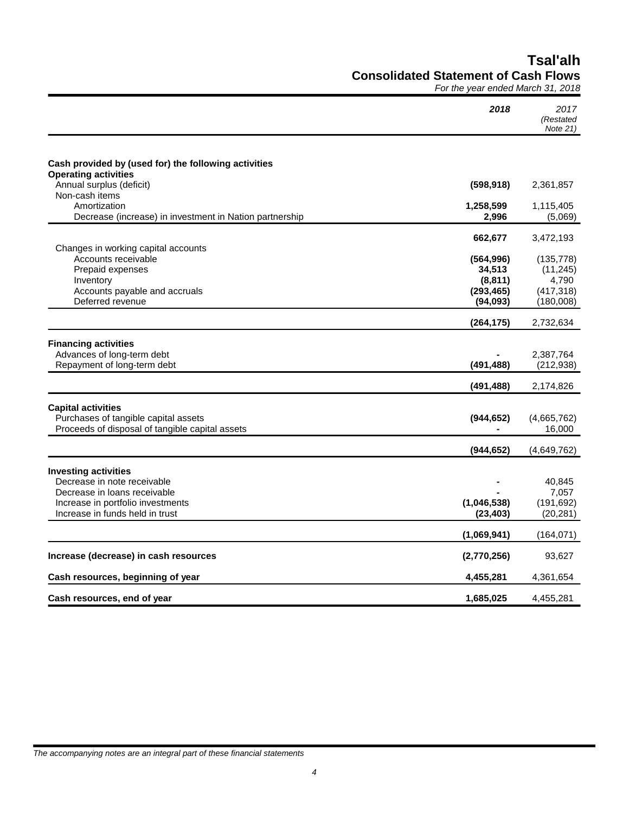## **Tsal'alh Consolidated Statement of Cash Flows**

*For the year ended March 31, 2018*

|                                                            | 2018                 | 2017<br>(Restated<br>Note $21$ ) |
|------------------------------------------------------------|----------------------|----------------------------------|
|                                                            |                      |                                  |
| Cash provided by (used for) the following activities       |                      |                                  |
| <b>Operating activities</b><br>Annual surplus (deficit)    | (598, 918)           | 2,361,857                        |
| Non-cash items                                             |                      |                                  |
| Amortization                                               | 1,258,599            | 1,115,405                        |
| Decrease (increase) in investment in Nation partnership    | 2,996                | (5,069)                          |
|                                                            | 662,677              | 3,472,193                        |
| Changes in working capital accounts                        |                      |                                  |
| Accounts receivable<br>Prepaid expenses                    | (564, 996)<br>34,513 | (135, 778)                       |
| Inventory                                                  | (8, 811)             | (11, 245)<br>4,790               |
| Accounts payable and accruals                              | (293, 465)           | (417, 318)                       |
| Deferred revenue                                           | (94,093)             | (180,008)                        |
|                                                            | (264, 175)           | 2,732,634                        |
| <b>Financing activities</b>                                |                      |                                  |
| Advances of long-term debt                                 |                      | 2,387,764                        |
| Repayment of long-term debt                                | (491, 488)           | (212, 938)                       |
|                                                            | (491, 488)           | 2,174,826                        |
| <b>Capital activities</b>                                  |                      |                                  |
| Purchases of tangible capital assets                       | (944, 652)           | (4,665,762)                      |
| Proceeds of disposal of tangible capital assets            |                      | 16,000                           |
|                                                            | (944, 652)           | (4,649,762)                      |
|                                                            |                      |                                  |
| <b>Investing activities</b><br>Decrease in note receivable |                      | 40,845                           |
| Decrease in loans receivable                               |                      | 7,057                            |
| Increase in portfolio investments                          | (1,046,538)          | (191, 692)                       |
| Increase in funds held in trust                            | (23, 403)            | (20, 281)                        |
|                                                            | (1,069,941)          | (164, 071)                       |
| Increase (decrease) in cash resources                      | (2,770,256)          | 93,627                           |
| Cash resources, beginning of year                          | 4,455,281            | 4,361,654                        |
| Cash resources, end of year                                | 1,685,025            | 4,455,281                        |

*The accompanying notes are an integral part of these financial statements*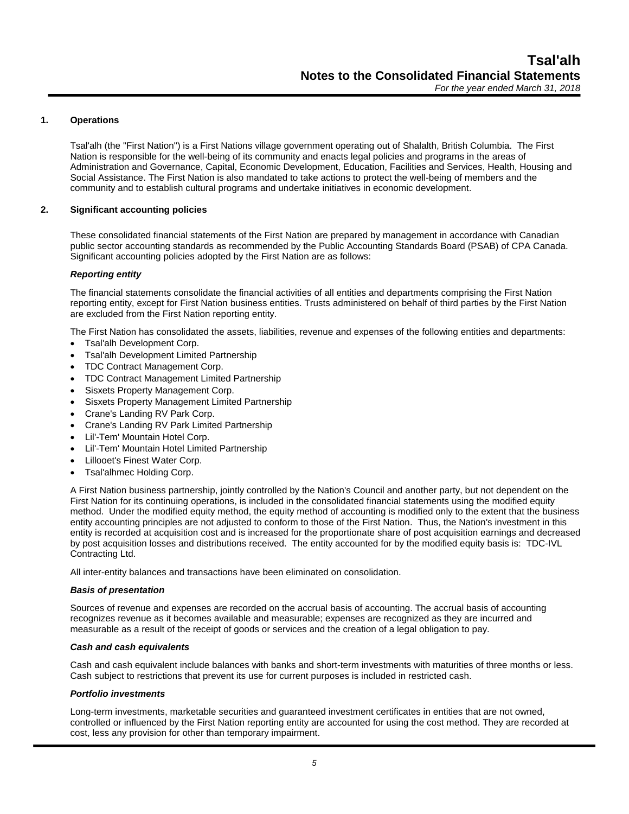## **1. Operations**

Tsal'alh (the "First Nation") is a First Nations village government operating out of Shalalth, British Columbia. The First Nation is responsible for the well-being of its community and enacts legal policies and programs in the areas of Administration and Governance, Capital, Economic Development, Education, Facilities and Services, Health, Housing and Social Assistance. The First Nation is also mandated to take actions to protect the well-being of members and the community and to establish cultural programs and undertake initiatives in economic development.

## **2. Significant accounting policies**

These consolidated financial statements of the First Nation are prepared by management in accordance with Canadian public sector accounting standards as recommended by the Public Accounting Standards Board (PSAB) of CPA Canada. Significant accounting policies adopted by the First Nation are as follows:

### *Reporting entity*

The financial statements consolidate the financial activities of all entities and departments comprising the First Nation reporting entity, except for First Nation business entities. Trusts administered on behalf of third parties by the First Nation are excluded from the First Nation reporting entity.

The First Nation has consolidated the assets, liabilities, revenue and expenses of the following entities and departments:

- Tsal'alh Development Corp.
- Tsal'alh Development Limited Partnership
- TDC Contract Management Corp.
- TDC Contract Management Limited Partnership
- Sisxets Property Management Corp.
- Sisxets Property Management Limited Partnership
- Crane's Landing RV Park Corp.
- Crane's Landing RV Park Limited Partnership
- Lil'-Tem' Mountain Hotel Corp.
- Lil'-Tem' Mountain Hotel Limited Partnership
- Lillooet's Finest Water Corp.
- Tsal'alhmec Holding Corp.

A First Nation business partnership, jointly controlled by the Nation's Council and another party, but not dependent on the First Nation for its continuing operations, is included in the consolidated financial statements using the modified equity method. Under the modified equity method, the equity method of accounting is modified only to the extent that the business entity accounting principles are not adjusted to conform to those of the First Nation. Thus, the Nation's investment in this entity is recorded at acquisition cost and is increased for the proportionate share of post acquisition earnings and decreased by post acquisition losses and distributions received. The entity accounted for by the modified equity basis is: TDC-IVL Contracting Ltd.

All inter-entity balances and transactions have been eliminated on consolidation.

### *Basis of presentation*

Sources of revenue and expenses are recorded on the accrual basis of accounting. The accrual basis of accounting recognizes revenue as it becomes available and measurable; expenses are recognized as they are incurred and measurable as a result of the receipt of goods or services and the creation of a legal obligation to pay.

### *Cash and cash equivalents*

Cash and cash equivalent include balances with banks and short-term investments with maturities of three months or less. Cash subject to restrictions that prevent its use for current purposes is included in restricted cash.

### *Portfolio investments*

Long-term investments, marketable securities and guaranteed investment certificates in entities that are not owned, controlled or influenced by the First Nation reporting entity are accounted for using the cost method. They are recorded at cost, less any provision for other than temporary impairment.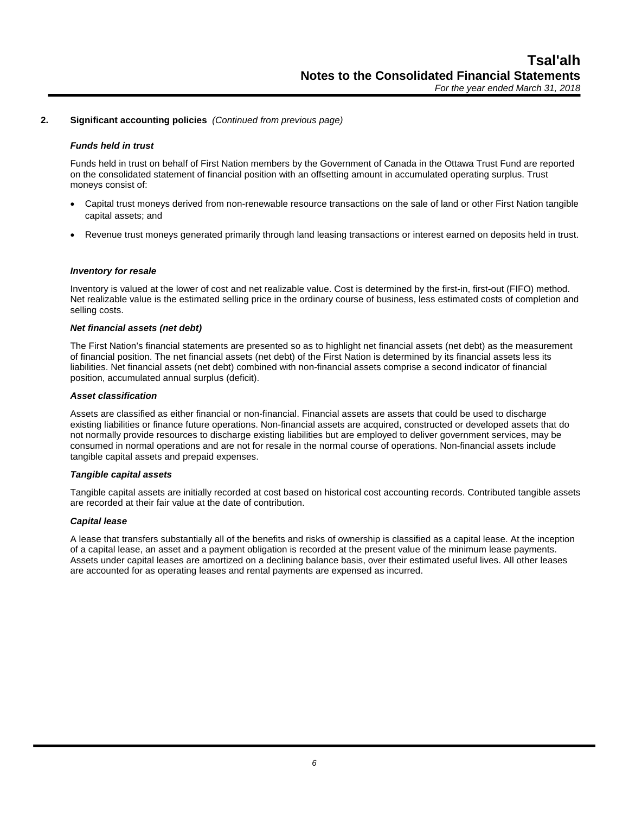### **2. Significant accounting policies** *(Continued from previous page)*

#### *Funds held in trust*

Funds held in trust on behalf of First Nation members by the Government of Canada in the Ottawa Trust Fund are reported on the consolidated statement of financial position with an offsetting amount in accumulated operating surplus. Trust moneys consist of:

- Capital trust moneys derived from non-renewable resource transactions on the sale of land or other First Nation tangible capital assets; and
- Revenue trust moneys generated primarily through land leasing transactions or interest earned on deposits held in trust.

#### *Inventory for resale*

Inventory is valued at the lower of cost and net realizable value. Cost is determined by the first-in, first-out (FIFO) method. Net realizable value is the estimated selling price in the ordinary course of business, less estimated costs of completion and selling costs.

#### *Net financial assets (net debt)*

The First Nation's financial statements are presented so as to highlight net financial assets (net debt) as the measurement of financial position. The net financial assets (net debt) of the First Nation is determined by its financial assets less its liabilities. Net financial assets (net debt) combined with non-financial assets comprise a second indicator of financial position, accumulated annual surplus (deficit).

#### *Asset classification*

Assets are classified as either financial or non-financial. Financial assets are assets that could be used to discharge existing liabilities or finance future operations. Non-financial assets are acquired, constructed or developed assets that do not normally provide resources to discharge existing liabilities but are employed to deliver government services, may be consumed in normal operations and are not for resale in the normal course of operations. Non-financial assets include tangible capital assets and prepaid expenses.

#### *Tangible capital assets*

Tangible capital assets are initially recorded at cost based on historical cost accounting records. Contributed tangible assets are recorded at their fair value at the date of contribution.

### *Capital lease*

A lease that transfers substantially all of the benefits and risks of ownership is classified as a capital lease. At the inception of a capital lease, an asset and a payment obligation is recorded at the present value of the minimum lease payments. Assets under capital leases are amortized on a declining balance basis, over their estimated useful lives. All other leases are accounted for as operating leases and rental payments are expensed as incurred.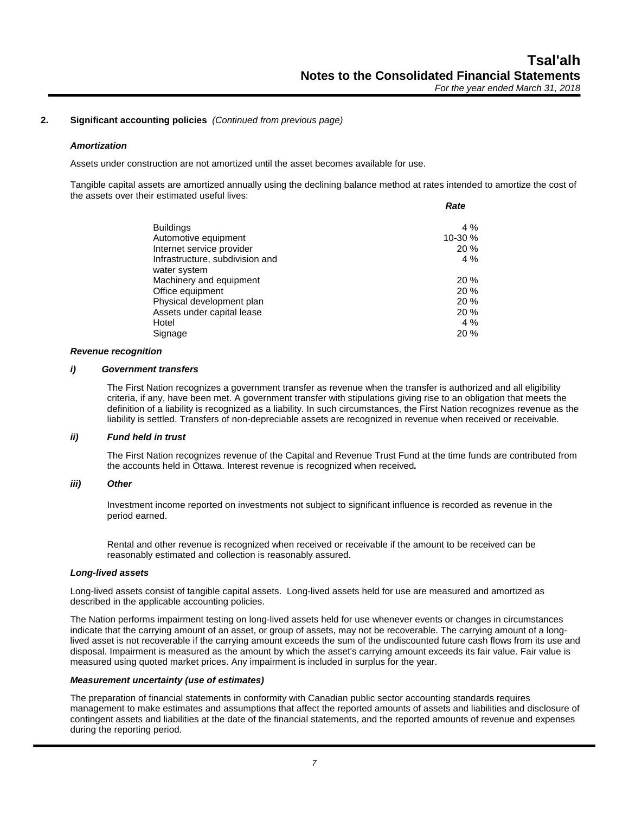### **2. Significant accounting policies** *(Continued from previous page)*

#### *Amortization*

Assets under construction are not amortized until the asset becomes available for use.

Tangible capital assets are amortized annually using the declining balance method at rates intended to amortize the cost of the assets over their estimated useful lives:

|                                                 | Rate        |
|-------------------------------------------------|-------------|
| <b>Buildings</b>                                | 4 %         |
| Automotive equipment                            | 10-30 %     |
| Internet service provider                       | <b>20 %</b> |
| Infrastructure, subdivision and<br>water system | 4 %         |
| Machinery and equipment                         | 20 %        |
| Office equipment                                | 20 %        |
| Physical development plan                       | <b>20 %</b> |
| Assets under capital lease                      | 20 %        |
| Hotel                                           | 4 %         |
| Signage                                         | <b>20 %</b> |

#### *Revenue recognition*

#### *i) Government transfers*

The First Nation recognizes a government transfer as revenue when the transfer is authorized and all eligibility criteria, if any, have been met. A government transfer with stipulations giving rise to an obligation that meets the definition of a liability is recognized as a liability. In such circumstances, the First Nation recognizes revenue as the liability is settled. Transfers of non-depreciable assets are recognized in revenue when received or receivable.

#### *ii) Fund held in trust*

The First Nation recognizes revenue of the Capital and Revenue Trust Fund at the time funds are contributed from the accounts held in Ottawa. Interest revenue is recognized when received*.* 

#### *iii) Other*

Investment income reported on investments not subject to significant influence is recorded as revenue in the period earned.

Rental and other revenue is recognized when received or receivable if the amount to be received can be reasonably estimated and collection is reasonably assured.

#### *Long-lived assets*

Long-lived assets consist of tangible capital assets. Long-lived assets held for use are measured and amortized as described in the applicable accounting policies.

The Nation performs impairment testing on long-lived assets held for use whenever events or changes in circumstances indicate that the carrying amount of an asset, or group of assets, may not be recoverable. The carrying amount of a longlived asset is not recoverable if the carrying amount exceeds the sum of the undiscounted future cash flows from its use and disposal. Impairment is measured as the amount by which the asset's carrying amount exceeds its fair value. Fair value is measured using quoted market prices. Any impairment is included in surplus for the year.

#### *Measurement uncertainty (use of estimates)*

The preparation of financial statements in conformity with Canadian public sector accounting standards requires management to make estimates and assumptions that affect the reported amounts of assets and liabilities and disclosure of contingent assets and liabilities at the date of the financial statements, and the reported amounts of revenue and expenses during the reporting period.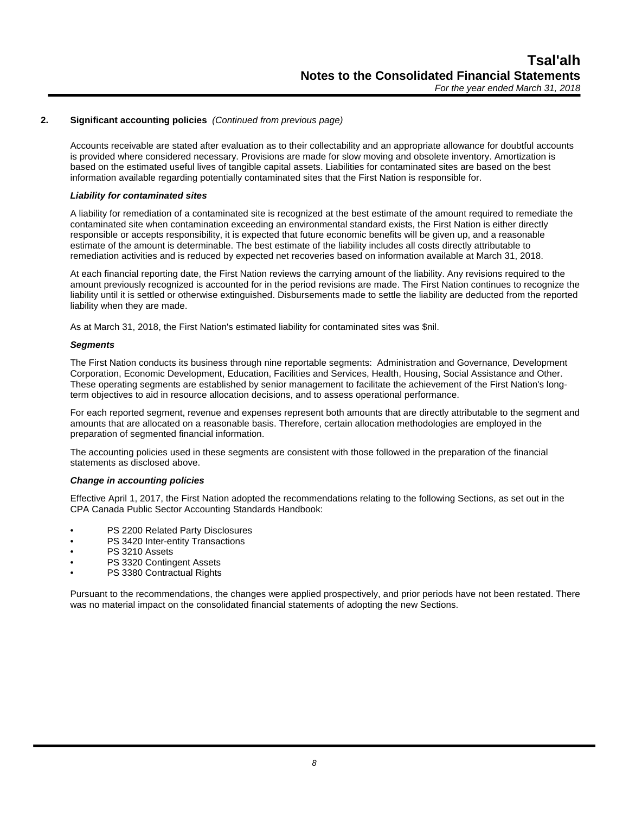## **2. Significant accounting policies** *(Continued from previous page)*

Accounts receivable are stated after evaluation as to their collectability and an appropriate allowance for doubtful accounts is provided where considered necessary. Provisions are made for slow moving and obsolete inventory. Amortization is based on the estimated useful lives of tangible capital assets. Liabilities for contaminated sites are based on the best information available regarding potentially contaminated sites that the First Nation is responsible for.

### *Liability for contaminated sites*

A liability for remediation of a contaminated site is recognized at the best estimate of the amount required to remediate the contaminated site when contamination exceeding an environmental standard exists, the First Nation is either directly responsible or accepts responsibility, it is expected that future economic benefits will be given up, and a reasonable estimate of the amount is determinable. The best estimate of the liability includes all costs directly attributable to remediation activities and is reduced by expected net recoveries based on information available at March 31, 2018.

At each financial reporting date, the First Nation reviews the carrying amount of the liability. Any revisions required to the amount previously recognized is accounted for in the period revisions are made. The First Nation continues to recognize the liability until it is settled or otherwise extinguished. Disbursements made to settle the liability are deducted from the reported liability when they are made.

As at March 31, 2018, the First Nation's estimated liability for contaminated sites was \$nil.

### *Segments*

The First Nation conducts its business through nine reportable segments: Administration and Governance, Development Corporation, Economic Development, Education, Facilities and Services, Health, Housing, Social Assistance and Other. These operating segments are established by senior management to facilitate the achievement of the First Nation's longterm objectives to aid in resource allocation decisions, and to assess operational performance.

For each reported segment, revenue and expenses represent both amounts that are directly attributable to the segment and amounts that are allocated on a reasonable basis. Therefore, certain allocation methodologies are employed in the preparation of segmented financial information.

The accounting policies used in these segments are consistent with those followed in the preparation of the financial statements as disclosed above.

### *Change in accounting policies*

Effective April 1, 2017, the First Nation adopted the recommendations relating to the following Sections, as set out in the CPA Canada Public Sector Accounting Standards Handbook:

- PS 2200 Related Party Disclosures
- PS 3420 Inter-entity Transactions
- PS 3210 Assets
- PS 3320 Contingent Assets
- PS 3380 Contractual Rights

Pursuant to the recommendations, the changes were applied prospectively, and prior periods have not been restated. There was no material impact on the consolidated financial statements of adopting the new Sections.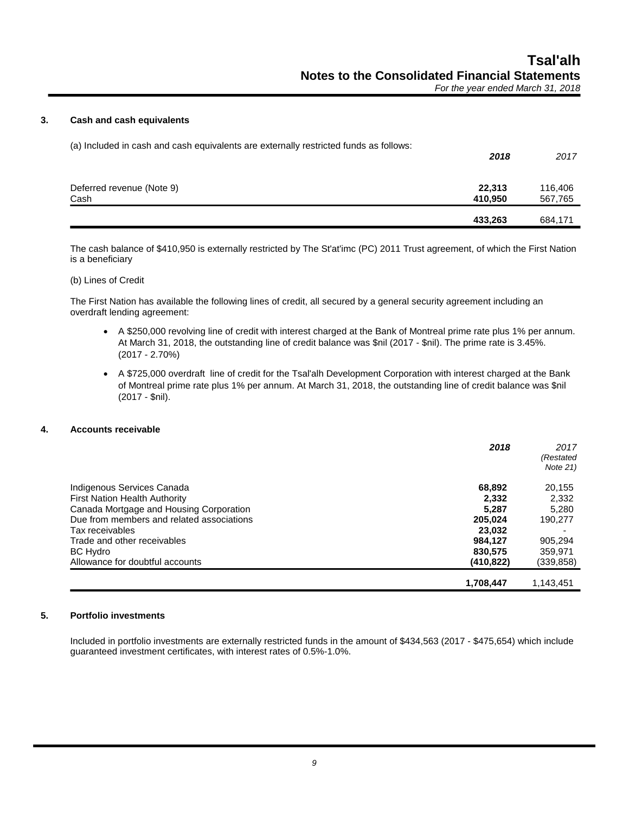*2018 2017*

### **3. Cash and cash equivalents**

(a) Included in cash and cash equivalents are externally restricted funds as follows:

| Deferred revenue (Note 9)<br>Cash | 22,313<br>410,950 | 116,406<br>567,765 |
|-----------------------------------|-------------------|--------------------|
|                                   | 433,263           | 684,171            |

The cash balance of \$410,950 is externally restricted by The St'at'imc (PC) 2011 Trust agreement, of which the First Nation is a beneficiary

### (b) Lines of Credit

The First Nation has available the following lines of credit, all secured by a general security agreement including an overdraft lending agreement:

- A \$250,000 revolving line of credit with interest charged at the Bank of Montreal prime rate plus 1% per annum. At March 31, 2018, the outstanding line of credit balance was \$nil (2017 - \$nil). The prime rate is 3.45%. (2017 - 2.70%)
- A \$725,000 overdraft line of credit for the Tsal'alh Development Corporation with interest charged at the Bank of Montreal prime rate plus 1% per annum. At March 31, 2018, the outstanding line of credit balance was \$nil (2017 - \$nil).

## **4. Accounts receivable**

|                                           | 2018      | 2017<br>(Restated<br>Note $21$ ) |
|-------------------------------------------|-----------|----------------------------------|
| Indigenous Services Canada                | 68,892    | 20,155                           |
| <b>First Nation Health Authority</b>      | 2,332     | 2,332                            |
| Canada Mortgage and Housing Corporation   | 5.287     | 5,280                            |
| Due from members and related associations | 205,024   | 190.277                          |
| Tax receivables                           | 23,032    |                                  |
| Trade and other receivables               | 984,127   | 905,294                          |
| <b>BC Hydro</b>                           | 830.575   | 359,971                          |
| Allowance for doubtful accounts           | (410,822) | (339,858)                        |
|                                           | 1,708,447 | 1,143,451                        |

### **5. Portfolio investments**

Included in portfolio investments are externally restricted funds in the amount of \$434,563 (2017 - \$475,654) which include guaranteed investment certificates, with interest rates of 0.5%-1.0%.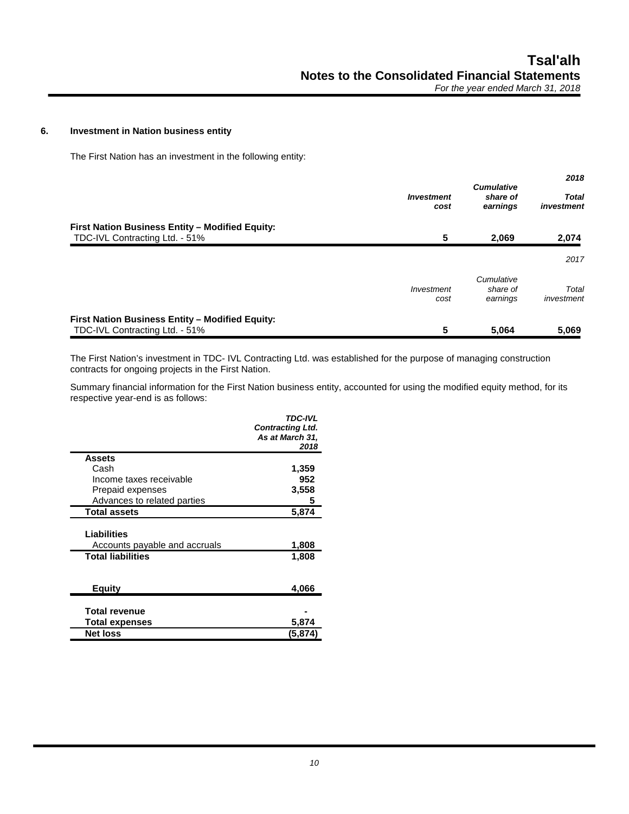## **6. Investment in Nation business entity**

The First Nation has an investment in the following entity:

|                                                                                   |                                  |                                           | 2018                |
|-----------------------------------------------------------------------------------|----------------------------------|-------------------------------------------|---------------------|
|                                                                                   | <i><b>Investment</b></i><br>cost | <b>Cumulative</b><br>share of<br>earnings | Total<br>investment |
| First Nation Business Entity - Modified Equity:<br>TDC-IVL Contracting Ltd. - 51% | 5                                | 2,069                                     | 2,074               |
|                                                                                   |                                  |                                           | 2017                |
|                                                                                   | Investment<br>cost               | Cumulative<br>share of<br>earnings        | Total<br>investment |
| First Nation Business Entity - Modified Equity:<br>TDC-IVL Contracting Ltd. - 51% | 5                                | 5.064                                     | 5,069               |

The First Nation's investment in TDC- IVL Contracting Ltd. was established for the purpose of managing construction contracts for ongoing projects in the First Nation.

Summary financial information for the First Nation business entity, accounted for using the modified equity method, for its respective year-end is as follows:

|                                              | <b>TDC-IVL</b>          |
|----------------------------------------------|-------------------------|
|                                              | <b>Contracting Ltd.</b> |
|                                              | As at March 31,         |
|                                              | 2018                    |
| Assets                                       |                         |
| Cash                                         | 1,359                   |
| Income taxes receivable                      | 952                     |
| Prepaid expenses                             | 3,558                   |
| Advances to related parties                  | 5                       |
| <b>Total assets</b>                          | 5,874                   |
| Liabilities<br>Accounts payable and accruals | 1,808                   |
| <b>Total liabilities</b>                     |                         |
|                                              | 1,808                   |
| <b>Equity</b>                                | 4,066                   |
|                                              |                         |
| <b>Total revenue</b>                         |                         |
| <b>Total expenses</b>                        | 5,874                   |
| <b>Net loss</b>                              | (5,874)                 |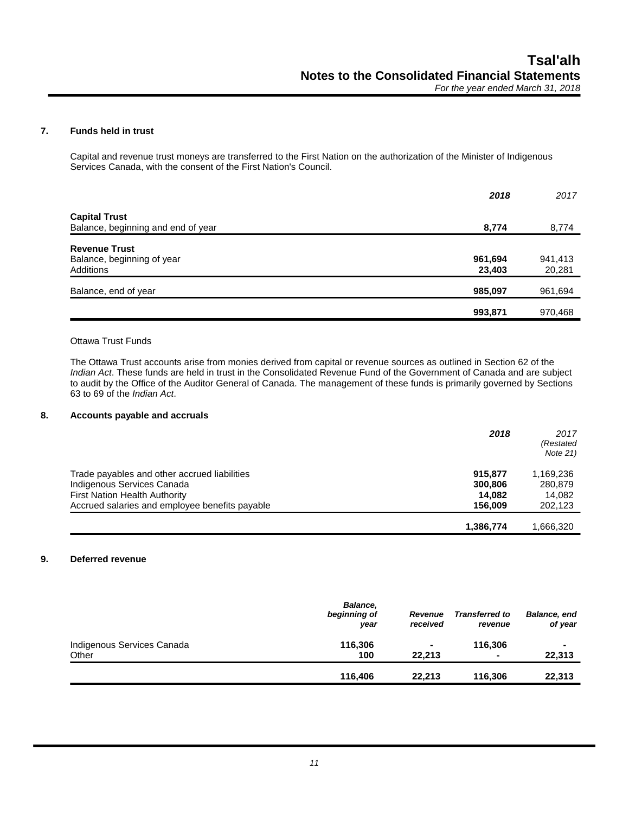## **7. Funds held in trust**

Capital and revenue trust moneys are transferred to the First Nation on the authorization of the Minister of Indigenous Services Canada, with the consent of the First Nation's Council.

|                                                                 | 2018              | 2017              |
|-----------------------------------------------------------------|-------------------|-------------------|
| <b>Capital Trust</b><br>Balance, beginning and end of year      | 8,774             | 8,774             |
| <b>Revenue Trust</b><br>Balance, beginning of year<br>Additions | 961,694<br>23,403 | 941,413<br>20,281 |
| Balance, end of year                                            | 985,097           | 961,694           |
|                                                                 | 993,871           | 970,468           |

## Ottawa Trust Funds

The Ottawa Trust accounts arise from monies derived from capital or revenue sources as outlined in Section 62 of the *Indian Act*. These funds are held in trust in the Consolidated Revenue Fund of the Government of Canada and are subject to audit by the Office of the Auditor General of Canada. The management of these funds is primarily governed by Sections 63 to 69 of the *Indian Act*.

### **8. Accounts payable and accruals**

|                                                | 2018      | 2017<br>(Restated<br>Note $21$ ) |
|------------------------------------------------|-----------|----------------------------------|
| Trade payables and other accrued liabilities   | 915,877   | 1,169,236                        |
| Indigenous Services Canada                     | 300,806   | 280,879                          |
| <b>First Nation Health Authority</b>           | 14.082    | 14,082                           |
| Accrued salaries and employee benefits payable | 156.009   | 202,123                          |
|                                                | 1,386,774 | 1.666.320                        |

### **9. Deferred revenue**

|                            | Balance,<br>beginning of<br>year | <b>Revenue</b><br>received | <b>Transferred to</b><br>revenue | <b>Balance, end</b><br>of year |
|----------------------------|----------------------------------|----------------------------|----------------------------------|--------------------------------|
| Indigenous Services Canada | 116,306                          | $\blacksquare$             | 116,306                          | $\blacksquare$                 |
| Other                      | 100                              | 22,213                     |                                  | 22,313                         |
|                            | 116,406                          | 22.213                     | 116,306                          | 22,313                         |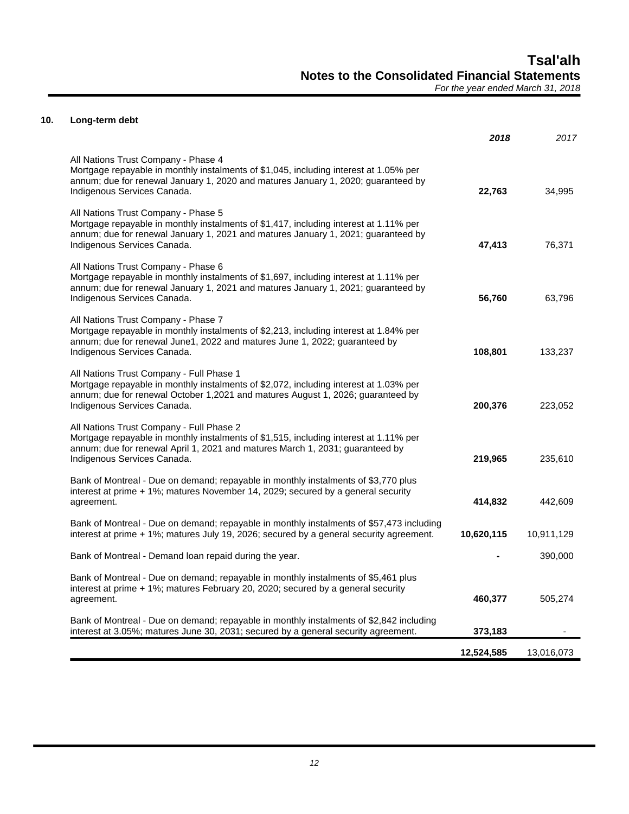*For the year ended March 31, 2018*

## **10. Long-term debt**

|                                                                                                                                                                                                                                                     | 2018       | 2017       |
|-----------------------------------------------------------------------------------------------------------------------------------------------------------------------------------------------------------------------------------------------------|------------|------------|
| All Nations Trust Company - Phase 4<br>Mortgage repayable in monthly instalments of \$1,045, including interest at 1.05% per<br>annum; due for renewal January 1, 2020 and matures January 1, 2020; guaranteed by<br>Indigenous Services Canada.    | 22,763     | 34,995     |
| All Nations Trust Company - Phase 5<br>Mortgage repayable in monthly instalments of \$1,417, including interest at 1.11% per<br>annum; due for renewal January 1, 2021 and matures January 1, 2021; guaranteed by<br>Indigenous Services Canada.    | 47,413     | 76,371     |
| All Nations Trust Company - Phase 6<br>Mortgage repayable in monthly instalments of \$1,697, including interest at 1.11% per<br>annum; due for renewal January 1, 2021 and matures January 1, 2021; guaranteed by<br>Indigenous Services Canada.    | 56,760     | 63,796     |
| All Nations Trust Company - Phase 7<br>Mortgage repayable in monthly instalments of \$2,213, including interest at 1.84% per<br>annum; due for renewal June1, 2022 and matures June 1, 2022; guaranteed by<br>Indigenous Services Canada.           | 108,801    | 133,237    |
| All Nations Trust Company - Full Phase 1<br>Mortgage repayable in monthly instalments of \$2,072, including interest at 1.03% per<br>annum; due for renewal October 1,2021 and matures August 1, 2026; guaranteed by<br>Indigenous Services Canada. | 200,376    | 223,052    |
| All Nations Trust Company - Full Phase 2<br>Mortgage repayable in monthly instalments of \$1,515, including interest at 1.11% per<br>annum; due for renewal April 1, 2021 and matures March 1, 2031; guaranteed by<br>Indigenous Services Canada.   | 219,965    | 235,610    |
| Bank of Montreal - Due on demand; repayable in monthly instalments of \$3,770 plus<br>interest at prime + 1%; matures November 14, 2029; secured by a general security<br>agreement.                                                                | 414,832    | 442,609    |
| Bank of Montreal - Due on demand; repayable in monthly instalments of \$57,473 including<br>interest at prime + 1%; matures July 19, 2026; secured by a general security agreement.                                                                 | 10,620,115 | 10,911,129 |
| Bank of Montreal - Demand loan repaid during the year.                                                                                                                                                                                              |            | 390,000    |
| Bank of Montreal - Due on demand; repayable in monthly instalments of \$5,461 plus<br>interest at prime + 1%; matures February 20, 2020; secured by a general security<br>agreement.                                                                | 460,377    | 505,274    |
| Bank of Montreal - Due on demand; repayable in monthly instalments of \$2,842 including<br>interest at 3.05%; matures June 30, 2031; secured by a general security agreement.                                                                       | 373,183    |            |
|                                                                                                                                                                                                                                                     | 12,524,585 | 13,016,073 |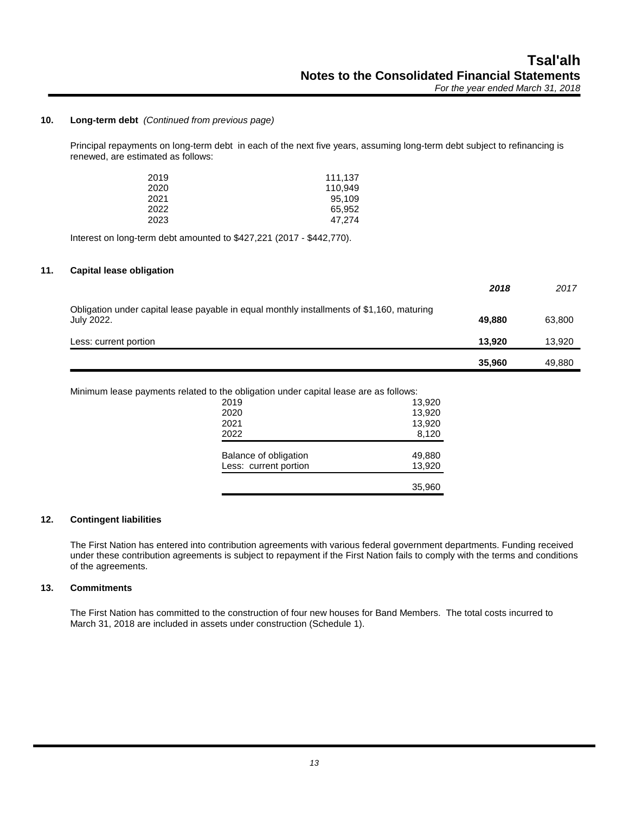## **10. Long-term debt** *(Continued from previous page)*

Principal repayments on long-term debt in each of the next five years, assuming long-term debt subject to refinancing is renewed, are estimated as follows:

| 2019 | 111.137 |
|------|---------|
| 2020 | 110.949 |
| 2021 | 95,109  |
| 2022 | 65.952  |
| 2023 | 47,274  |

Interest on long-term debt amounted to \$427,221 (2017 - \$442,770).

### **11. Capital lease obligation**

|                                                                                                         | 2018   | 2017   |
|---------------------------------------------------------------------------------------------------------|--------|--------|
| Obligation under capital lease payable in equal monthly installments of \$1,160, maturing<br>July 2022. | 49,880 | 63,800 |
| Less: current portion                                                                                   | 13.920 | 13,920 |
|                                                                                                         | 35,960 | 49,880 |

Minimum lease payments related to the obligation under capital lease are as follows:

| 2019                  | 13,920 |
|-----------------------|--------|
| 2020                  | 13,920 |
| 2021                  | 13,920 |
| 2022                  | 8,120  |
|                       |        |
| Balance of obligation | 49,880 |
| Less: current portion | 13,920 |
|                       |        |
|                       | 35,960 |

### **12. Contingent liabilities**

The First Nation has entered into contribution agreements with various federal government departments. Funding received under these contribution agreements is subject to repayment if the First Nation fails to comply with the terms and conditions of the agreements.

## **13. Commitments**

The First Nation has committed to the construction of four new houses for Band Members. The total costs incurred to March 31, 2018 are included in assets under construction (Schedule 1).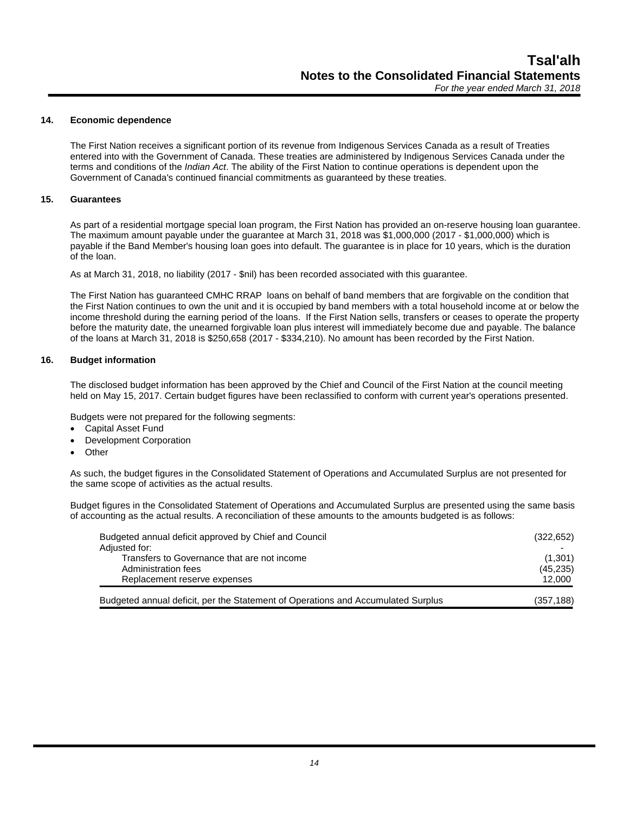### **14. Economic dependence**

The First Nation receives a significant portion of its revenue from Indigenous Services Canada as a result of Treaties entered into with the Government of Canada. These treaties are administered by Indigenous Services Canada under the terms and conditions of the *Indian Act*. The ability of the First Nation to continue operations is dependent upon the Government of Canada's continued financial commitments as guaranteed by these treaties.

## **15. Guarantees**

As part of a residential mortgage special loan program, the First Nation has provided an on-reserve housing loan guarantee. The maximum amount payable under the guarantee at March 31, 2018 was \$1,000,000 (2017 - \$1,000,000) which is payable if the Band Member's housing loan goes into default. The guarantee is in place for 10 years, which is the duration of the loan.

As at March 31, 2018, no liability (2017 - \$nil) has been recorded associated with this guarantee.

The First Nation has guaranteed CMHC RRAP loans on behalf of band members that are forgivable on the condition that the First Nation continues to own the unit and it is occupied by band members with a total household income at or below the income threshold during the earning period of the loans. If the First Nation sells, transfers or ceases to operate the property before the maturity date, the unearned forgivable loan plus interest will immediately become due and payable. The balance of the loans at March 31, 2018 is \$250,658 (2017 - \$334,210). No amount has been recorded by the First Nation.

## **16. Budget information**

The disclosed budget information has been approved by the Chief and Council of the First Nation at the council meeting held on May 15, 2017. Certain budget figures have been reclassified to conform with current year's operations presented.

Budgets were not prepared for the following segments:

- Capital Asset Fund
- Development Corporation
- **Other**

As such, the budget figures in the Consolidated Statement of Operations and Accumulated Surplus are not presented for the same scope of activities as the actual results.

Budget figures in the Consolidated Statement of Operations and Accumulated Surplus are presented using the same basis of accounting as the actual results. A reconciliation of these amounts to the amounts budgeted is as follows:

| Budgeted annual deficit approved by Chief and Council                            | (322, 652) |
|----------------------------------------------------------------------------------|------------|
| Adjusted for:                                                                    |            |
| Transfers to Governance that are not income                                      | (1,301)    |
| Administration fees                                                              | (45, 235)  |
| Replacement reserve expenses                                                     | 12.000     |
| Budgeted annual deficit, per the Statement of Operations and Accumulated Surplus | (357, 188) |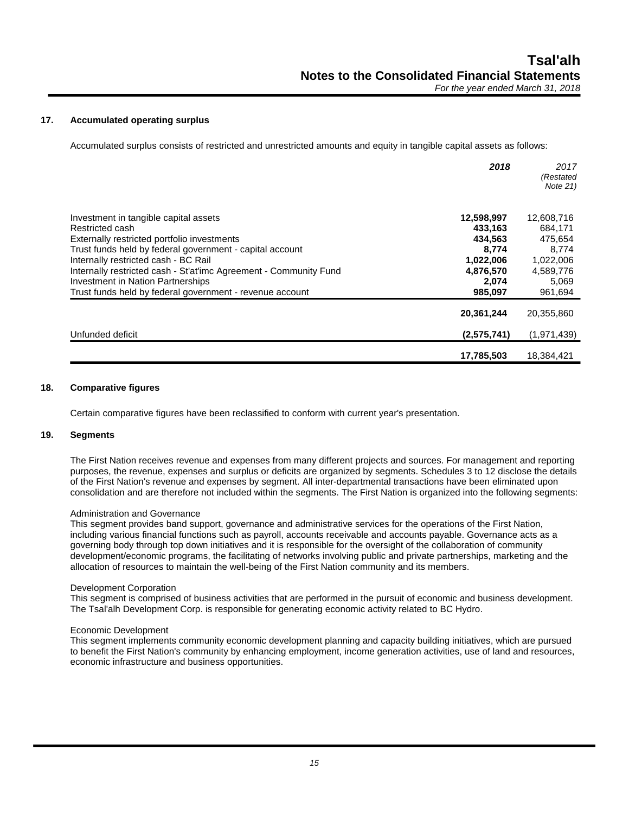### **17. Accumulated operating surplus**

Accumulated surplus consists of restricted and unrestricted amounts and equity in tangible capital assets as follows:

| 2018                                                                           | 2017<br>(Restated<br>Note $21$ ) |
|--------------------------------------------------------------------------------|----------------------------------|
| 12,598,997<br>Investment in tangible capital assets                            | 12,608,716                       |
| Restricted cash<br>433,163                                                     | 684,171                          |
| Externally restricted portfolio investments<br>434,563                         | 475,654                          |
| Trust funds held by federal government - capital account<br>8,774              | 8,774                            |
| Internally restricted cash - BC Rail<br>1,022,006                              | 1,022,006                        |
| Internally restricted cash - St'at'imc Agreement - Community Fund<br>4,876,570 | 4,589,776                        |
| Investment in Nation Partnerships<br>2,074                                     | 5,069                            |
| Trust funds held by federal government - revenue account<br>985,097            | 961,694                          |
| 20,361,244                                                                     | 20,355,860                       |
| Unfunded deficit<br>(2,575,741)                                                | (1,971,439)                      |
| 17,785,503                                                                     | 18,384,421                       |

### **18. Comparative figures**

Certain comparative figures have been reclassified to conform with current year's presentation.

## **19. Segments**

The First Nation receives revenue and expenses from many different projects and sources. For management and reporting purposes, the revenue, expenses and surplus or deficits are organized by segments. Schedules 3 to 12 disclose the details of the First Nation's revenue and expenses by segment. All inter-departmental transactions have been eliminated upon consolidation and are therefore not included within the segments. The First Nation is organized into the following segments:

#### Administration and Governance

This segment provides band support, governance and administrative services for the operations of the First Nation, including various financial functions such as payroll, accounts receivable and accounts payable. Governance acts as a governing body through top down initiatives and it is responsible for the oversight of the collaboration of community development/economic programs, the facilitating of networks involving public and private partnerships, marketing and the allocation of resources to maintain the well-being of the First Nation community and its members.

#### Development Corporation

This segment is comprised of business activities that are performed in the pursuit of economic and business development. The Tsal'alh Development Corp. is responsible for generating economic activity related to BC Hydro.

#### Economic Development

This segment implements community economic development planning and capacity building initiatives, which are pursued to benefit the First Nation's community by enhancing employment, income generation activities, use of land and resources, economic infrastructure and business opportunities.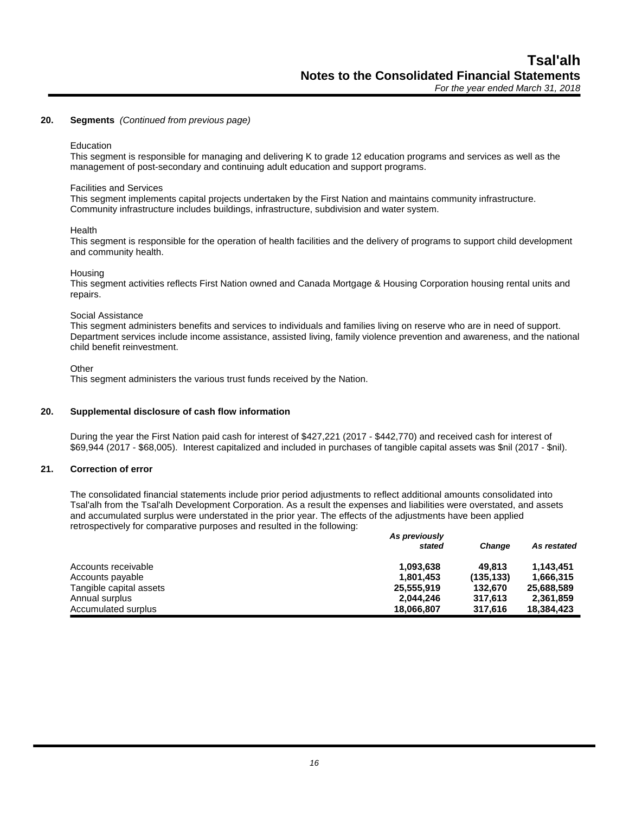## **20. Segments** *(Continued from previous page)*

Education

This segment is responsible for managing and delivering K to grade 12 education programs and services as well as the management of post-secondary and continuing adult education and support programs.

#### Facilities and Services

This segment implements capital projects undertaken by the First Nation and maintains community infrastructure. Community infrastructure includes buildings, infrastructure, subdivision and water system.

#### Health

This segment is responsible for the operation of health facilities and the delivery of programs to support child development and community health.

#### **Housing**

This segment activities reflects First Nation owned and Canada Mortgage & Housing Corporation housing rental units and repairs.

#### Social Assistance

This segment administers benefits and services to individuals and families living on reserve who are in need of support. Department services include income assistance, assisted living, family violence prevention and awareness, and the national child benefit reinvestment.

#### **Other**

This segment administers the various trust funds received by the Nation.

### **20. Supplemental disclosure of cash flow information**

During the year the First Nation paid cash for interest of \$427,221 (2017 - \$442,770) and received cash for interest of \$69,944 (2017 - \$68,005). Interest capitalized and included in purchases of tangible capital assets was \$nil (2017 - \$nil).

#### **21. Correction of error**

The consolidated financial statements include prior period adjustments to reflect additional amounts consolidated into Tsal'alh from the Tsal'alh Development Corporation. As a result the expenses and liabilities were overstated, and assets and accumulated surplus were understated in the prior year. The effects of the adjustments have been applied retrospectively for comparative purposes and resulted in the following:

|                         | As previously |               |             |  |
|-------------------------|---------------|---------------|-------------|--|
|                         | stated        | <b>Change</b> | As restated |  |
| Accounts receivable     | 1,093,638     | 49.813        | 1,143,451   |  |
| Accounts payable        | 1.801.453     | (135, 133)    | 1.666.315   |  |
| Tangible capital assets | 25,555,919    | 132.670       | 25,688,589  |  |
| Annual surplus          | 2,044,246     | 317.613       | 2,361,859   |  |
| Accumulated surplus     | 18,066,807    | 317.616       | 18,384,423  |  |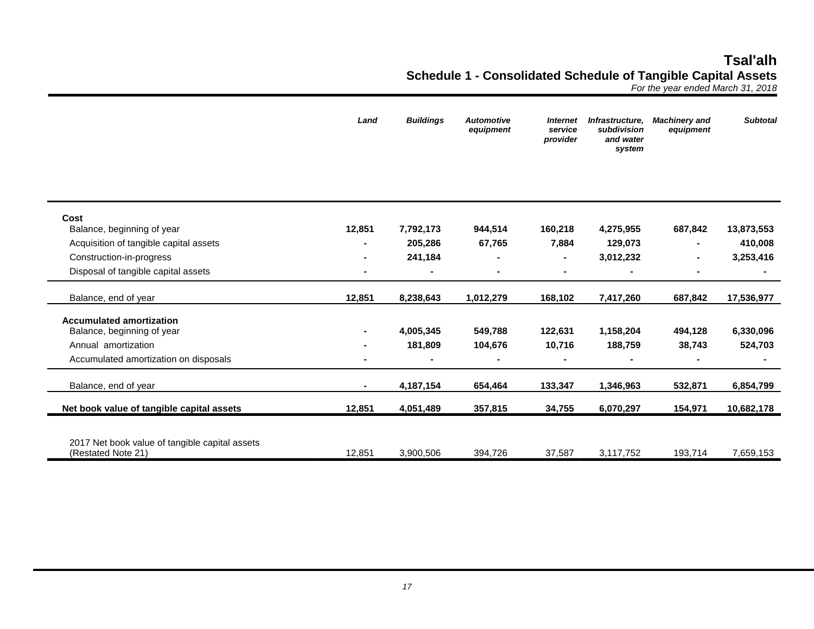|                                                                      | Land           | <b>Buildings</b> | <b>Automotive</b><br>equipment | <b>Internet</b><br>service<br>provider | Infrastructure,<br>subdivision<br>and water<br>system | <b>Machinery and</b><br>equipment | <b>Subtotal</b> |
|----------------------------------------------------------------------|----------------|------------------|--------------------------------|----------------------------------------|-------------------------------------------------------|-----------------------------------|-----------------|
| Cost                                                                 |                |                  |                                |                                        |                                                       |                                   |                 |
| Balance, beginning of year                                           | 12,851         | 7,792,173        | 944,514                        | 160,218                                | 4,275,955                                             | 687,842                           | 13,873,553      |
| Acquisition of tangible capital assets                               |                | 205,286          | 67,765                         | 7,884                                  | 129,073                                               | $\blacksquare$                    | 410,008         |
| Construction-in-progress                                             | $\blacksquare$ | 241,184          |                                |                                        | 3,012,232                                             | $\blacksquare$                    | 3,253,416       |
| Disposal of tangible capital assets                                  | $\blacksquare$ |                  |                                |                                        |                                                       | $\blacksquare$                    |                 |
| Balance, end of year                                                 | 12,851         | 8,238,643        | 1,012,279                      | 168,102                                | 7,417,260                                             | 687,842                           | 17,536,977      |
| <b>Accumulated amortization</b><br>Balance, beginning of year        |                | 4,005,345        | 549,788                        | 122,631                                | 1,158,204                                             | 494,128                           | 6,330,096       |
| Annual amortization                                                  |                | 181,809          | 104,676                        | 10,716                                 | 188,759                                               | 38,743                            | 524,703         |
| Accumulated amortization on disposals                                |                |                  |                                |                                        |                                                       |                                   |                 |
| Balance, end of year                                                 | $\blacksquare$ | 4,187,154        | 654,464                        | 133,347                                | 1,346,963                                             | 532,871                           | 6,854,799       |
| Net book value of tangible capital assets                            | 12,851         | 4,051,489        | 357,815                        | 34,755                                 | 6,070,297                                             | 154,971                           | 10,682,178      |
| 2017 Net book value of tangible capital assets<br>(Restated Note 21) | 12,851         | 3,900,506        | 394,726                        | 37,587                                 | 3,117,752                                             | 193,714                           | 7,659,153       |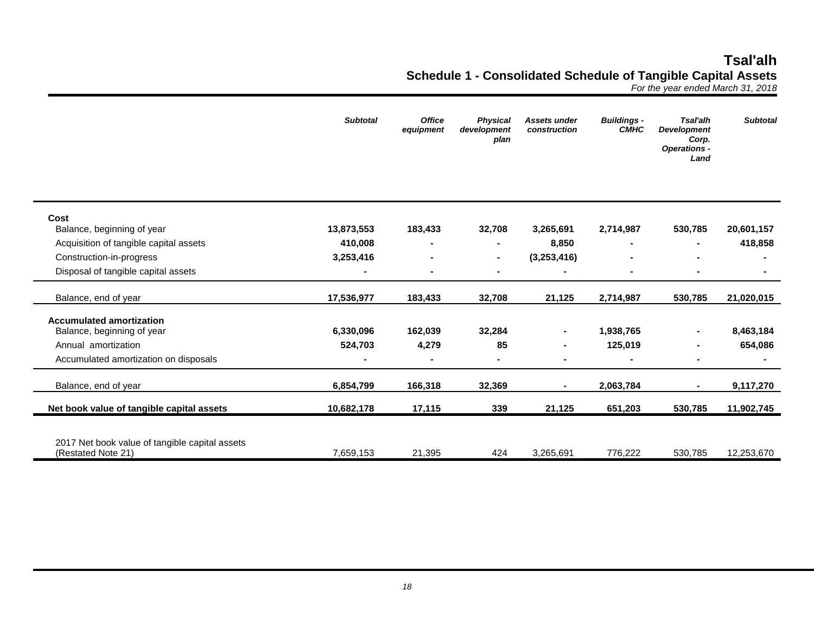|                                                                      | <b>Subtotal</b> | <b>Office</b><br>equipment | <b>Physical</b><br>development<br>plan | Assets under<br>construction | <b>Buildings -</b><br><b>CMHC</b> | <b>Tsal'alh</b><br><b>Development</b><br>Corp.<br><b>Operations -</b><br>Land | <b>Subtotal</b> |
|----------------------------------------------------------------------|-----------------|----------------------------|----------------------------------------|------------------------------|-----------------------------------|-------------------------------------------------------------------------------|-----------------|
| Cost                                                                 |                 |                            |                                        |                              |                                   |                                                                               |                 |
| Balance, beginning of year                                           | 13,873,553      | 183,433                    | 32,708                                 | 3,265,691                    | 2,714,987                         | 530,785                                                                       | 20,601,157      |
| Acquisition of tangible capital assets                               | 410,008         |                            |                                        | 8,850                        | $\blacksquare$                    |                                                                               | 418,858         |
| Construction-in-progress                                             | 3,253,416       | Ξ.                         | $\blacksquare$                         | (3,253,416)                  |                                   |                                                                               |                 |
| Disposal of tangible capital assets                                  |                 | Ξ.                         | $\blacksquare$                         |                              |                                   | $\blacksquare$                                                                |                 |
| Balance, end of year                                                 | 17,536,977      | 183,433                    | 32,708                                 | 21,125                       | 2,714,987                         | 530,785                                                                       | 21,020,015      |
| <b>Accumulated amortization</b>                                      |                 |                            |                                        |                              |                                   |                                                                               |                 |
| Balance, beginning of year                                           | 6,330,096       | 162,039                    | 32,284                                 |                              | 1,938,765                         |                                                                               | 8,463,184       |
| Annual amortization                                                  | 524,703         | 4,279                      | 85                                     |                              | 125,019                           |                                                                               | 654,086         |
| Accumulated amortization on disposals                                |                 | $\blacksquare$             |                                        |                              |                                   |                                                                               |                 |
| Balance, end of year                                                 | 6,854,799       | 166,318                    | 32,369                                 |                              | 2,063,784                         |                                                                               | 9,117,270       |
| Net book value of tangible capital assets                            | 10,682,178      | 17,115                     | 339                                    | 21,125                       | 651,203                           | 530,785                                                                       | 11,902,745      |
|                                                                      |                 |                            |                                        |                              |                                   |                                                                               |                 |
| 2017 Net book value of tangible capital assets<br>(Restated Note 21) | 7,659,153       | 21,395                     | 424                                    | 3,265,691                    | 776,222                           | 530,785                                                                       | 12,253,670      |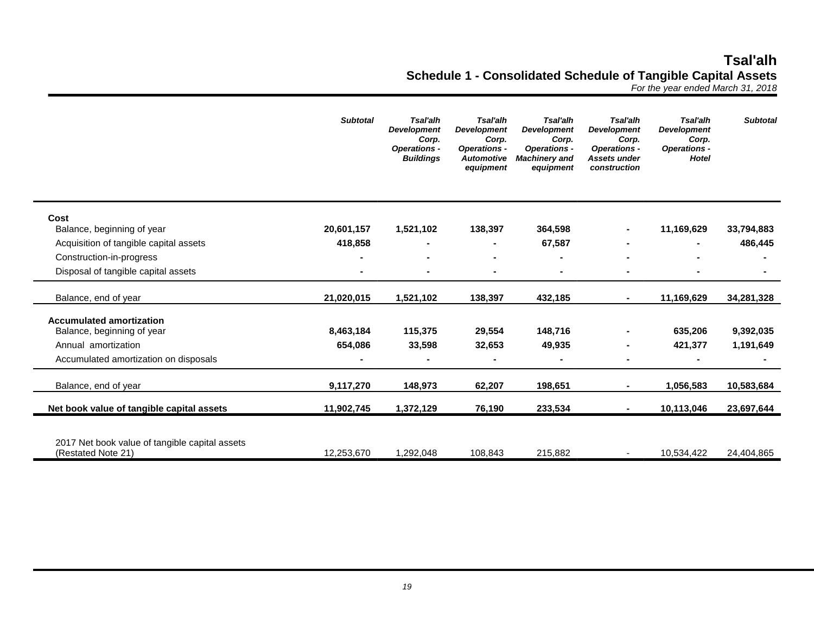|                                                                      | <b>Subtotal</b> | <b>Tsal'alh</b><br><b>Development</b><br>Corp.<br><b>Operations -</b><br><b>Buildings</b> | <b>Tsal'alh</b><br><b>Development</b><br>Corp.<br><b>Operations -</b><br><b>Automotive</b><br>equipment | <b>Tsal'alh</b><br><b>Development</b><br>Corp.<br><b>Operations -</b><br><b>Machinery and</b><br>equipment | <b>Tsal'alh</b><br><b>Development</b><br>Corp.<br>Operations -<br>Assets under<br>construction | <b>Tsal'alh</b><br><b>Development</b><br>Corp.<br><b>Operations -</b><br><b>Hotel</b> | <b>Subtotal</b> |
|----------------------------------------------------------------------|-----------------|-------------------------------------------------------------------------------------------|---------------------------------------------------------------------------------------------------------|------------------------------------------------------------------------------------------------------------|------------------------------------------------------------------------------------------------|---------------------------------------------------------------------------------------|-----------------|
| Cost                                                                 |                 |                                                                                           |                                                                                                         |                                                                                                            |                                                                                                |                                                                                       |                 |
| Balance, beginning of year                                           | 20,601,157      | 1,521,102                                                                                 | 138,397                                                                                                 | 364,598                                                                                                    |                                                                                                | 11,169,629                                                                            | 33,794,883      |
| Acquisition of tangible capital assets                               | 418,858         |                                                                                           |                                                                                                         | 67,587                                                                                                     | $\blacksquare$                                                                                 |                                                                                       | 486,445         |
| Construction-in-progress                                             |                 | $\blacksquare$                                                                            |                                                                                                         |                                                                                                            | $\blacksquare$                                                                                 |                                                                                       |                 |
| Disposal of tangible capital assets                                  |                 | $\blacksquare$                                                                            | $\blacksquare$                                                                                          |                                                                                                            | ۰                                                                                              |                                                                                       |                 |
| Balance, end of year                                                 | 21,020,015      | 1,521,102                                                                                 | 138,397                                                                                                 | 432,185                                                                                                    |                                                                                                | 11,169,629                                                                            | 34,281,328      |
| <b>Accumulated amortization</b>                                      |                 |                                                                                           |                                                                                                         |                                                                                                            |                                                                                                |                                                                                       |                 |
| Balance, beginning of year                                           | 8,463,184       | 115,375                                                                                   | 29,554                                                                                                  | 148,716                                                                                                    | $\blacksquare$                                                                                 | 635,206                                                                               | 9,392,035       |
| Annual amortization                                                  | 654,086         | 33,598                                                                                    | 32,653                                                                                                  | 49,935                                                                                                     | $\blacksquare$                                                                                 | 421,377                                                                               | 1,191,649       |
| Accumulated amortization on disposals                                |                 | $\blacksquare$                                                                            | $\blacksquare$                                                                                          |                                                                                                            | $\blacksquare$                                                                                 |                                                                                       |                 |
| Balance, end of year                                                 | 9,117,270       | 148,973                                                                                   | 62,207                                                                                                  | 198,651                                                                                                    | $\blacksquare$                                                                                 | 1,056,583                                                                             | 10,583,684      |
| Net book value of tangible capital assets                            | 11,902,745      | 1,372,129                                                                                 | 76,190                                                                                                  | 233,534                                                                                                    |                                                                                                | 10,113,046                                                                            | 23,697,644      |
|                                                                      |                 |                                                                                           |                                                                                                         |                                                                                                            |                                                                                                |                                                                                       |                 |
| 2017 Net book value of tangible capital assets<br>(Restated Note 21) | 12,253,670      | 1,292,048                                                                                 | 108,843                                                                                                 | 215,882                                                                                                    |                                                                                                | 10,534,422                                                                            | 24,404,865      |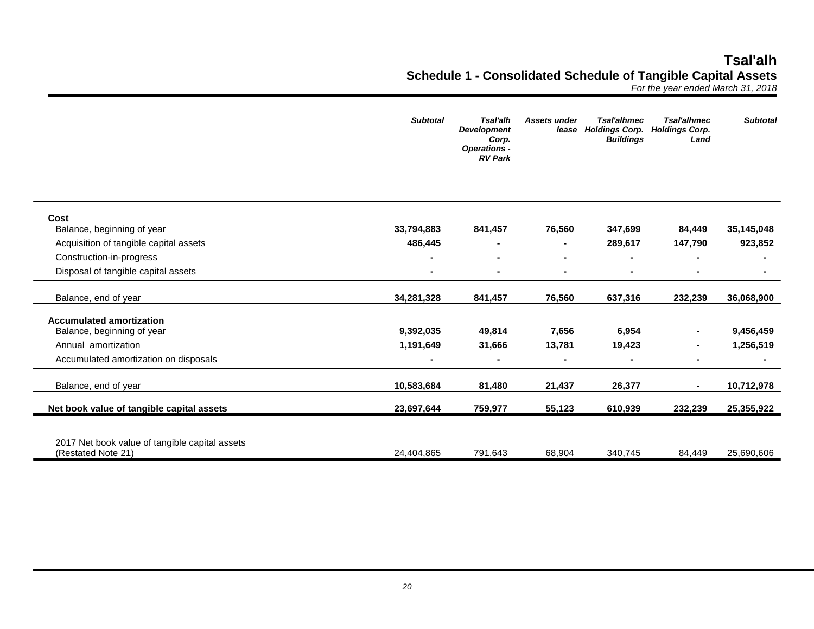|                                                                                                                               | <b>Subtotal</b>        | <b>Tsal'alh</b><br><b>Development</b><br>Corp.<br><b>Operations -</b><br><b>RV Park</b> | Assets under<br>lease | <b>Tsal'alhmec</b><br>Holdings Corp. Holdings Corp.<br><b>Buildings</b> | <b>Tsal'alhmec</b><br>Land | <b>Subtotal</b>        |
|-------------------------------------------------------------------------------------------------------------------------------|------------------------|-----------------------------------------------------------------------------------------|-----------------------|-------------------------------------------------------------------------|----------------------------|------------------------|
| Cost<br>Balance, beginning of year                                                                                            | 33,794,883             | 841,457                                                                                 | 76,560                | 347,699                                                                 | 84,449                     | 35,145,048             |
| Acquisition of tangible capital assets                                                                                        | 486,445                |                                                                                         |                       | 289,617                                                                 | 147,790                    | 923,852                |
| Construction-in-progress                                                                                                      |                        | $\blacksquare$                                                                          |                       |                                                                         |                            |                        |
| Disposal of tangible capital assets                                                                                           |                        |                                                                                         |                       |                                                                         |                            |                        |
| Balance, end of year                                                                                                          | 34,281,328             | 841,457                                                                                 | 76,560                | 637,316                                                                 | 232,239                    | 36,068,900             |
| <b>Accumulated amortization</b><br>Balance, beginning of year<br>Annual amortization<br>Accumulated amortization on disposals | 9,392,035<br>1,191,649 | 49,814<br>31,666                                                                        | 7,656<br>13,781       | 6,954<br>19,423<br>$\blacksquare$                                       | $\blacksquare$             | 9,456,459<br>1,256,519 |
| Balance, end of year                                                                                                          | 10,583,684             | 81,480                                                                                  | 21,437                | 26,377                                                                  | $\blacksquare$             | 10,712,978             |
| Net book value of tangible capital assets                                                                                     | 23,697,644             | 759,977                                                                                 | 55,123                | 610,939                                                                 | 232,239                    | 25,355,922             |
| 2017 Net book value of tangible capital assets<br>(Restated Note 21)                                                          | 24,404,865             | 791,643                                                                                 | 68,904                | 340,745                                                                 | 84,449                     | 25,690,606             |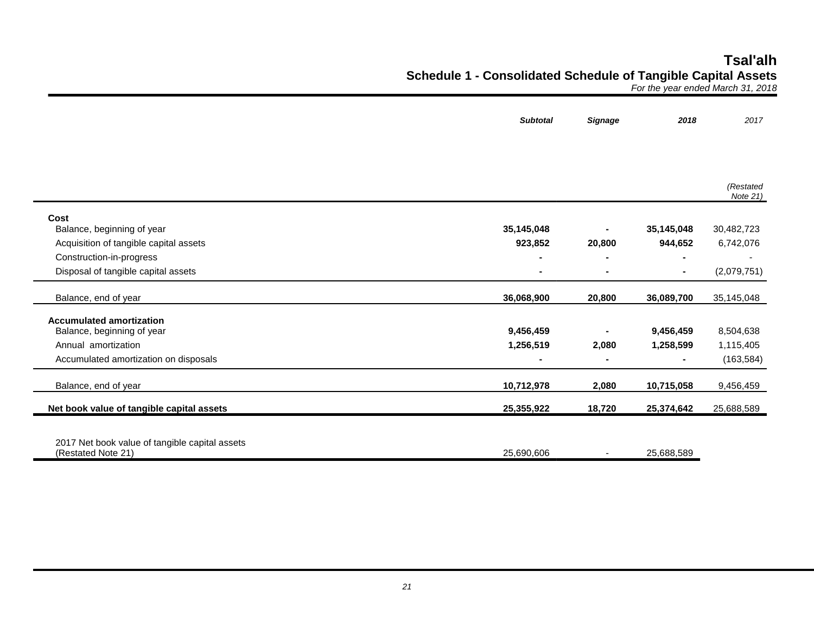## **Tsal'alh Schedule 1 - Consolidated Schedule of Tangible Capital Assets** *For the year ended March 31, 2018*

| <b>Subtotal</b> | <b>Signage</b>                       | 2018           | 2017                                 |
|-----------------|--------------------------------------|----------------|--------------------------------------|
|                 |                                      |                |                                      |
|                 |                                      |                |                                      |
|                 |                                      |                | (Restated<br>Note 21)                |
|                 |                                      |                |                                      |
|                 |                                      |                | 30,482,723                           |
| 923,852         | 20,800                               | 944,652        | 6,742,076                            |
|                 |                                      |                |                                      |
|                 | $\blacksquare$                       | $\blacksquare$ | (2,079,751)                          |
| 36,068,900      | 20,800                               | 36,089,700     | 35,145,048                           |
|                 |                                      |                |                                      |
|                 |                                      |                | 8,504,638                            |
|                 |                                      |                | 1,115,405                            |
|                 |                                      |                | (163, 584)                           |
| 10,712,978      | 2,080                                | 10,715,058     | 9,456,459                            |
| 25,355,922      | 18,720                               | 25,374,642     | 25,688,589                           |
|                 |                                      |                |                                      |
|                 |                                      |                |                                      |
| 25,690,606      |                                      | 25,688,589     |                                      |
|                 | 35,145,048<br>9,456,459<br>1,256,519 | 2,080          | 35,145,048<br>9,456,459<br>1,258,599 |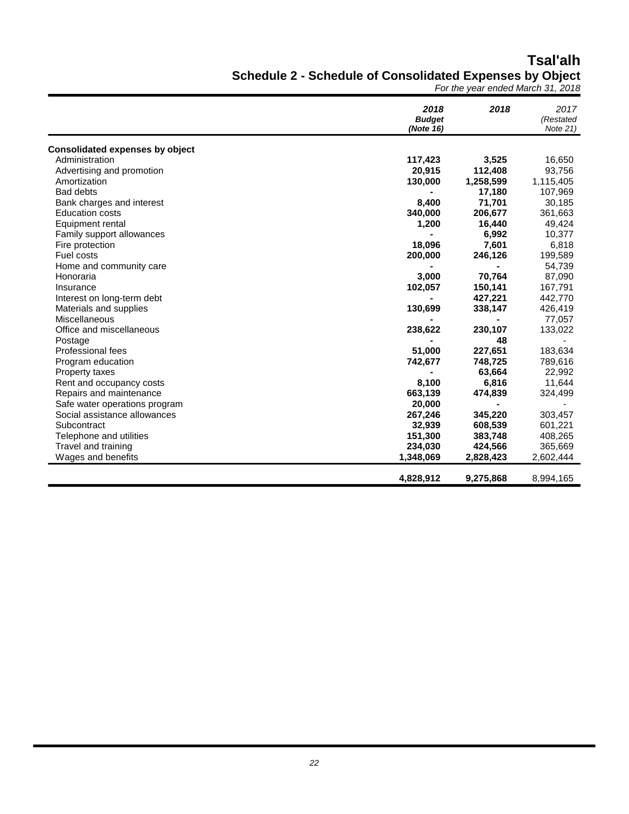## **Tsal'alh Schedule 2 - Schedule of Consolidated Expenses by Object**

|                                        | 2018<br><b>Budget</b><br>(Note 16) | 2018      | 2017<br>(Restated<br>Note $21$ ) |
|----------------------------------------|------------------------------------|-----------|----------------------------------|
| <b>Consolidated expenses by object</b> |                                    |           |                                  |
| Administration                         | 117,423                            | 3,525     | 16,650                           |
| Advertising and promotion              | 20,915                             | 112,408   | 93,756                           |
| Amortization                           | 130,000                            | 1,258,599 | 1,115,405                        |
| <b>Bad debts</b>                       |                                    | 17,180    | 107,969                          |
| Bank charges and interest              | 8,400                              | 71,701    | 30,185                           |
| <b>Education costs</b>                 | 340,000                            | 206,677   | 361,663                          |
| Equipment rental                       | 1,200                              | 16,440    | 49,424                           |
| Family support allowances              |                                    | 6,992     | 10,377                           |
| Fire protection                        | 18,096                             | 7,601     | 6,818                            |
| Fuel costs                             | 200,000                            | 246,126   | 199,589                          |
| Home and community care                |                                    | Ξ.        | 54,739                           |
| Honoraria                              | 3,000                              | 70,764    | 87,090                           |
| Insurance                              | 102,057                            | 150,141   | 167,791                          |
| Interest on long-term debt             |                                    | 427,221   | 442,770                          |
| Materials and supplies                 | 130,699                            | 338,147   | 426,419                          |
| Miscellaneous                          |                                    |           | 77,057                           |
| Office and miscellaneous               | 238,622                            | 230,107   | 133,022                          |
| Postage                                |                                    | 48        |                                  |
| Professional fees                      | 51,000                             | 227,651   | 183,634                          |
| Program education                      | 742,677                            | 748,725   | 789,616                          |
| Property taxes                         |                                    | 63,664    | 22,992                           |
| Rent and occupancy costs               | 8,100                              | 6,816     | 11,644                           |
| Repairs and maintenance                | 663,139                            | 474,839   | 324,499                          |
| Safe water operations program          | 20,000                             |           |                                  |
| Social assistance allowances           | 267,246                            | 345,220   | 303,457                          |
| Subcontract                            | 32,939                             | 608,539   | 601,221                          |
| Telephone and utilities                | 151,300                            | 383,748   | 408,265                          |
| Travel and training                    | 234,030                            | 424,566   | 365,669                          |
| Wages and benefits                     | 1,348,069                          | 2,828,423 | 2,602,444                        |
|                                        | 4,828,912                          | 9,275,868 | 8,994,165                        |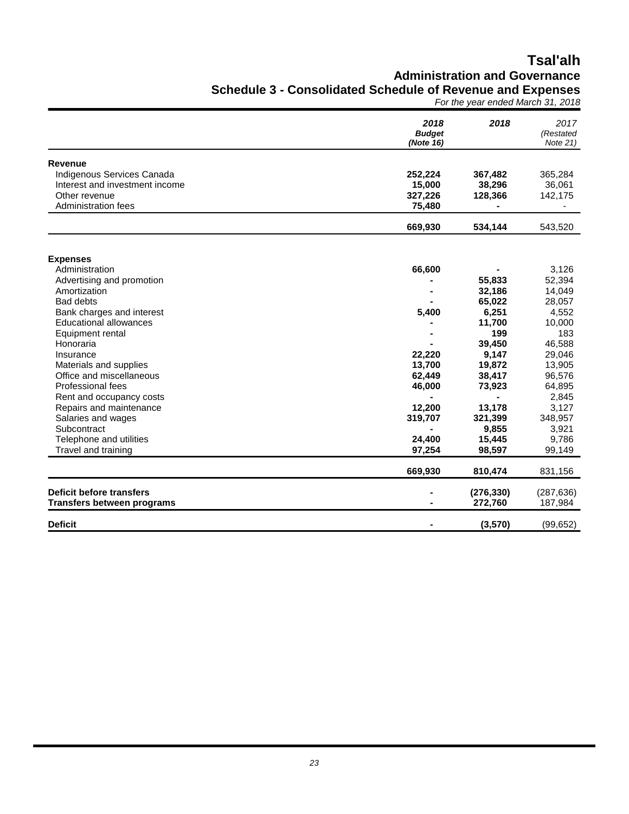## **Tsal'alh Administration and Governance Schedule 3 - Consolidated Schedule of Revenue and Expenses**

|                                   | 2018<br><b>Budget</b><br>(Note 16) | 2018       | 2017<br>(Restated<br>Note $21$ ) |
|-----------------------------------|------------------------------------|------------|----------------------------------|
| <b>Revenue</b>                    |                                    |            |                                  |
| Indigenous Services Canada        | 252,224                            | 367,482    | 365,284                          |
| Interest and investment income    | 15,000                             | 38,296     | 36,061                           |
| Other revenue                     | 327,226                            | 128,366    | 142,175                          |
| Administration fees               | 75,480                             |            |                                  |
|                                   | 669,930                            | 534,144    | 543,520                          |
| <b>Expenses</b>                   |                                    |            |                                  |
| Administration                    | 66,600                             |            | 3,126                            |
| Advertising and promotion         |                                    | 55,833     | 52,394                           |
| Amortization                      |                                    | 32,186     | 14,049                           |
| <b>Bad debts</b>                  |                                    | 65,022     | 28,057                           |
| Bank charges and interest         | 5,400                              | 6,251      | 4,552                            |
| <b>Educational allowances</b>     |                                    | 11,700     | 10,000                           |
| Equipment rental                  |                                    | 199        | 183                              |
| Honoraria                         |                                    | 39,450     | 46,588                           |
| Insurance                         | 22,220                             | 9,147      | 29,046                           |
| Materials and supplies            | 13,700                             | 19,872     | 13,905                           |
| Office and miscellaneous          | 62,449                             | 38,417     | 96,576                           |
| Professional fees                 | 46,000                             | 73,923     | 64,895                           |
| Rent and occupancy costs          |                                    |            | 2,845                            |
| Repairs and maintenance           | 12,200                             | 13,178     | 3,127                            |
| Salaries and wages                | 319,707                            | 321,399    | 348,957                          |
| Subcontract                       |                                    | 9,855      | 3,921                            |
| Telephone and utilities           | 24,400                             | 15,445     | 9,786                            |
| Travel and training               | 97,254                             | 98,597     | 99,149                           |
|                                   | 669,930                            | 810,474    | 831,156                          |
| <b>Deficit before transfers</b>   |                                    | (276, 330) | (287, 636)                       |
| <b>Transfers between programs</b> |                                    | 272,760    | 187,984                          |
| <b>Deficit</b>                    |                                    | (3,570)    | (99, 652)                        |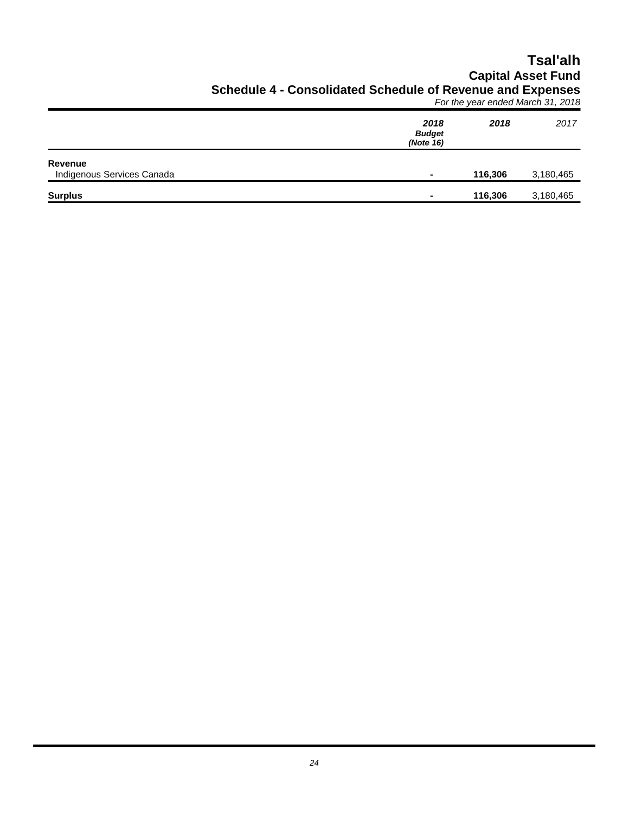## **Tsal'alh Capital Asset Fund Schedule 4 - Consolidated Schedule of Revenue and Expenses**

|                                       | 2018<br><b>Budget</b><br>(Note 16) | 2018    | 2017      |
|---------------------------------------|------------------------------------|---------|-----------|
| Revenue<br>Indigenous Services Canada | $\sim$                             | 116,306 | 3,180,465 |
| <b>Surplus</b>                        | $\overline{\phantom{a}}$           | 116,306 | 3,180,465 |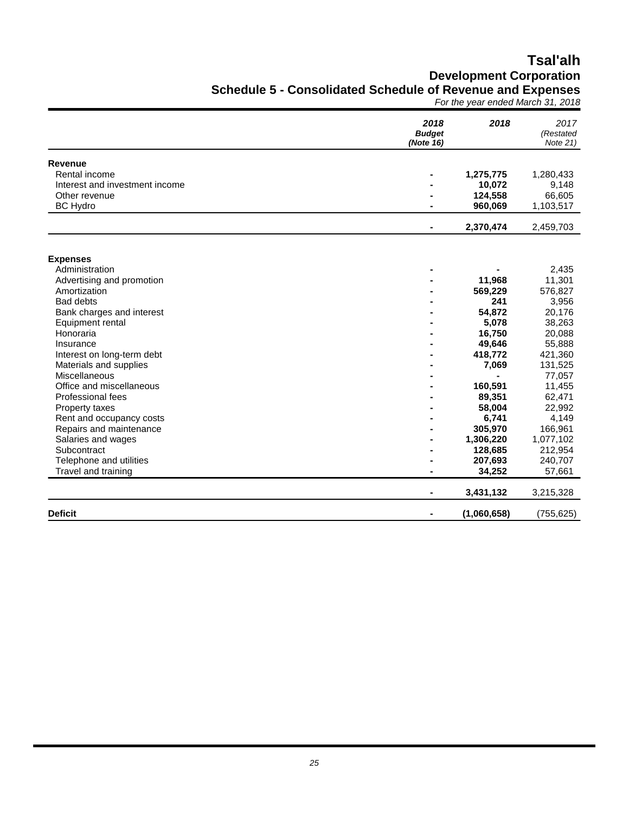## **Tsal'alh Development Corporation Schedule 5 - Consolidated Schedule of Revenue and Expenses**

|                                           | 2018<br><b>Budget</b><br>(Note 16) | 2018        | 2017<br>(Restated<br>Note $21$ ) |
|-------------------------------------------|------------------------------------|-------------|----------------------------------|
| <b>Revenue</b>                            |                                    |             |                                  |
| Rental income                             |                                    | 1,275,775   | 1,280,433                        |
| Interest and investment income            |                                    | 10,072      | 9,148                            |
| Other revenue                             |                                    | 124,558     | 66.605                           |
| <b>BC Hydro</b>                           |                                    | 960,069     | 1,103,517                        |
|                                           |                                    | 2,370,474   | 2,459,703                        |
|                                           |                                    |             |                                  |
| <b>Expenses</b><br>Administration         |                                    |             | 2,435                            |
|                                           |                                    | 11,968      | 11,301                           |
| Advertising and promotion<br>Amortization |                                    | 569,229     | 576,827                          |
| <b>Bad debts</b>                          |                                    | 241         | 3,956                            |
| Bank charges and interest                 |                                    | 54,872      | 20,176                           |
|                                           |                                    | 5,078       | 38,263                           |
| Equipment rental<br>Honoraria             |                                    | 16,750      | 20,088                           |
| Insurance                                 |                                    | 49,646      | 55,888                           |
| Interest on long-term debt                |                                    | 418,772     | 421,360                          |
| Materials and supplies                    |                                    | 7,069       | 131,525                          |
| Miscellaneous                             |                                    |             | 77,057                           |
| Office and miscellaneous                  |                                    | 160,591     | 11,455                           |
| Professional fees                         |                                    | 89,351      | 62,471                           |
| Property taxes                            |                                    | 58,004      | 22,992                           |
| Rent and occupancy costs                  |                                    | 6,741       | 4,149                            |
| Repairs and maintenance                   |                                    | 305,970     | 166,961                          |
| Salaries and wages                        |                                    | 1,306,220   | 1,077,102                        |
| Subcontract                               |                                    | 128,685     | 212,954                          |
| Telephone and utilities                   |                                    | 207,693     | 240,707                          |
| Travel and training                       |                                    | 34,252      | 57,661                           |
|                                           |                                    | 3,431,132   | 3,215,328                        |
| <b>Deficit</b>                            |                                    | (1,060,658) | (755, 625)                       |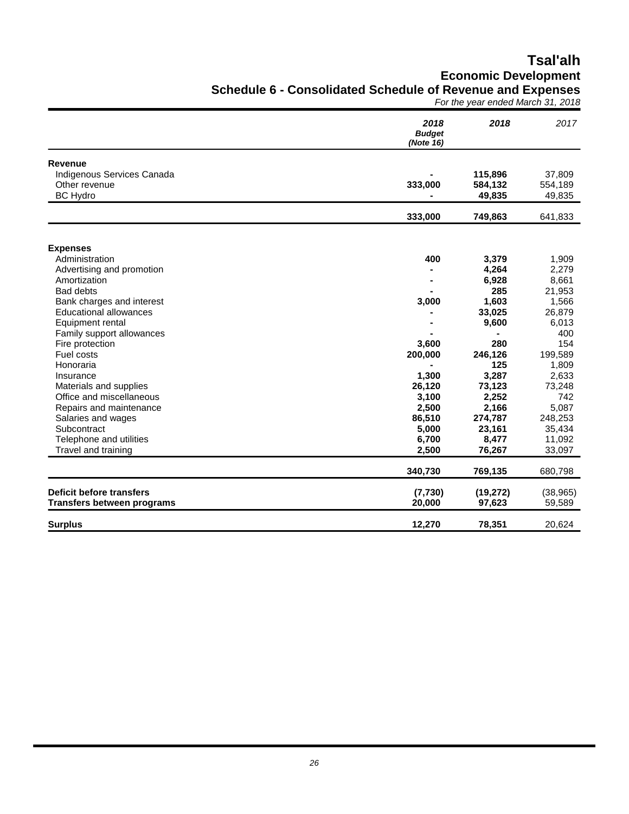## **Tsal'alh Economic Development Schedule 6 - Consolidated Schedule of Revenue and Expenses**

|                                                            | 2018<br><b>Budget</b><br>(Note 16) | 2018            | 2017            |
|------------------------------------------------------------|------------------------------------|-----------------|-----------------|
| <b>Revenue</b>                                             |                                    |                 |                 |
| Indigenous Services Canada                                 |                                    | 115,896         | 37,809          |
| Other revenue                                              | 333,000                            | 584,132         | 554,189         |
| <b>BC Hydro</b>                                            |                                    | 49,835          | 49,835          |
|                                                            | 333,000                            | 749,863         | 641,833         |
|                                                            |                                    |                 |                 |
| <b>Expenses</b>                                            |                                    |                 |                 |
| Administration                                             | 400                                | 3,379           | 1,909           |
| Advertising and promotion                                  |                                    | 4,264           | 2,279           |
| Amortization<br><b>Bad debts</b>                           |                                    | 6,928<br>285    | 8,661<br>21,953 |
|                                                            |                                    |                 |                 |
| Bank charges and interest<br><b>Educational allowances</b> | 3,000                              | 1,603<br>33,025 | 1,566<br>26,879 |
| Equipment rental                                           |                                    | 9,600           | 6,013           |
|                                                            |                                    |                 | 400             |
| Family support allowances                                  | 3,600                              | 280             | 154             |
| Fire protection<br>Fuel costs                              | 200,000                            | 246,126         | 199,589         |
| Honoraria                                                  |                                    | 125             | 1,809           |
| Insurance                                                  | 1,300                              | 3,287           | 2,633           |
| Materials and supplies                                     | 26,120                             | 73,123          | 73,248          |
| Office and miscellaneous                                   | 3,100                              | 2,252           | 742             |
| Repairs and maintenance                                    | 2,500                              | 2,166           | 5,087           |
| Salaries and wages                                         | 86,510                             | 274,787         | 248,253         |
| Subcontract                                                | 5,000                              | 23,161          | 35,434          |
| Telephone and utilities                                    | 6,700                              | 8,477           | 11,092          |
| Travel and training                                        | 2,500                              | 76,267          | 33,097          |
|                                                            | 340,730                            | 769,135         | 680,798         |
| <b>Deficit before transfers</b>                            | (7, 730)                           | (19, 272)       | (38, 965)       |
| <b>Transfers between programs</b>                          | 20,000                             | 97,623          | 59,589          |
| <b>Surplus</b>                                             | 12,270                             | 78,351          | 20,624          |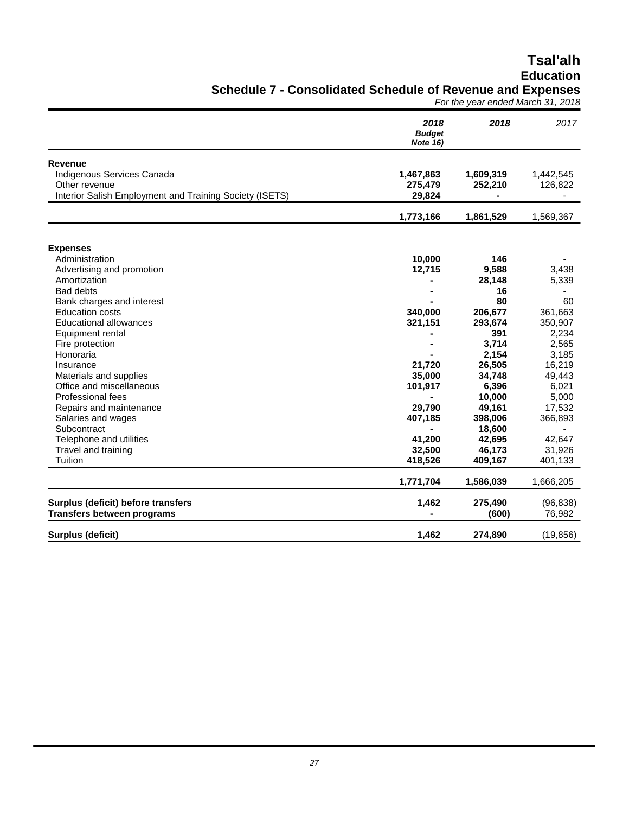**Tsal'alh Education Schedule 7 - Consolidated Schedule of Revenue and Expenses**

|                                                                                                                          | 2018<br><b>Budget</b><br>Note 16) | 2018                 | 2017                 |
|--------------------------------------------------------------------------------------------------------------------------|-----------------------------------|----------------------|----------------------|
| <b>Revenue</b><br>Indigenous Services Canada<br>Other revenue<br>Interior Salish Employment and Training Society (ISETS) | 1,467,863<br>275,479<br>29,824    | 1,609,319<br>252,210 | 1,442,545<br>126,822 |
|                                                                                                                          | 1,773,166                         | 1,861,529            | 1,569,367            |
| <b>Expenses</b>                                                                                                          |                                   |                      |                      |
| Administration                                                                                                           | 10,000                            | 146                  |                      |
| Advertising and promotion                                                                                                | 12,715                            | 9,588                | 3,438                |
| Amortization                                                                                                             |                                   | 28,148               | 5,339                |
| <b>Bad debts</b>                                                                                                         |                                   | 16                   |                      |
| Bank charges and interest                                                                                                |                                   | 80                   | 60                   |
| <b>Education costs</b>                                                                                                   | 340,000                           | 206,677              | 361,663              |
| <b>Educational allowances</b>                                                                                            | 321,151                           | 293,674              | 350,907              |
| Equipment rental                                                                                                         |                                   | 391                  | 2,234                |
| Fire protection                                                                                                          |                                   | 3,714                | 2,565                |
| Honoraria                                                                                                                |                                   | 2,154                | 3,185                |
| Insurance                                                                                                                | 21,720                            | 26,505               | 16,219               |
| Materials and supplies                                                                                                   | 35,000                            | 34,748               | 49,443               |
| Office and miscellaneous                                                                                                 | 101,917                           | 6,396                | 6,021                |
| Professional fees                                                                                                        |                                   | 10,000               | 5,000                |
| Repairs and maintenance                                                                                                  | 29,790                            | 49,161               | 17,532               |
| Salaries and wages                                                                                                       | 407,185                           | 398,006              | 366,893              |
| Subcontract                                                                                                              |                                   | 18,600               |                      |
| Telephone and utilities                                                                                                  | 41,200                            | 42,695               | 42,647               |
| Travel and training                                                                                                      | 32,500                            | 46,173               | 31,926               |
| Tuition                                                                                                                  | 418,526                           | 409,167              | 401,133              |
|                                                                                                                          | 1,771,704                         | 1,586,039            | 1,666,205            |
| Surplus (deficit) before transfers<br>Transfers between programs                                                         | 1,462                             | 275,490<br>(600)     | (96, 838)<br>76,982  |
| Surplus (deficit)                                                                                                        | 1,462                             | 274,890              | (19, 856)            |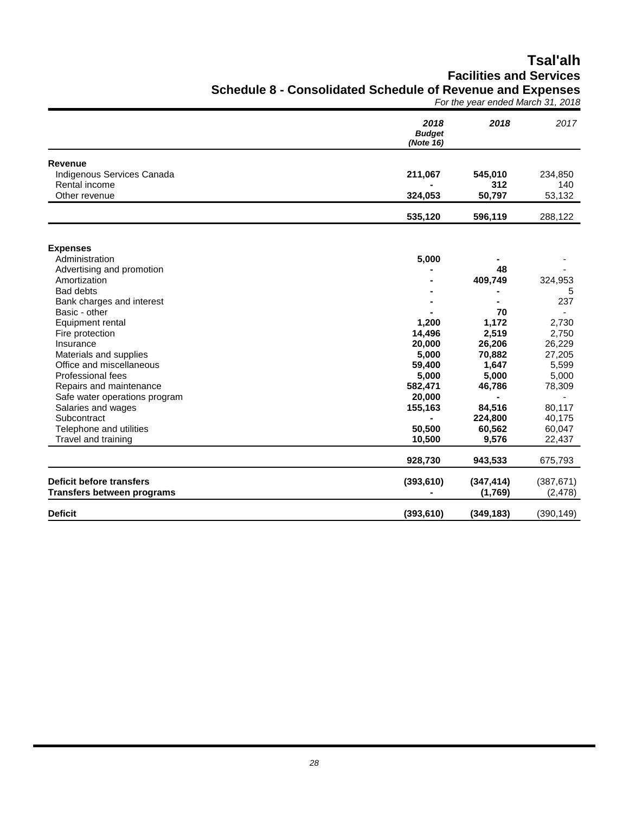## **Tsal'alh Facilities and Services Schedule 8 - Consolidated Schedule of Revenue and Expenses**

|                                 | 2018<br><b>Budget</b><br>(Note 16) | 2018       | 2017       |
|---------------------------------|------------------------------------|------------|------------|
| <b>Revenue</b>                  |                                    |            |            |
| Indigenous Services Canada      | 211,067                            | 545,010    | 234,850    |
| Rental income                   |                                    | 312        | 140        |
| Other revenue                   | 324,053                            | 50,797     | 53,132     |
|                                 | 535,120                            | 596,119    | 288,122    |
| <b>Expenses</b>                 |                                    |            |            |
| Administration                  | 5,000                              |            |            |
| Advertising and promotion       |                                    | 48         |            |
| Amortization                    |                                    | 409,749    | 324,953    |
| <b>Bad debts</b>                |                                    |            | 5          |
| Bank charges and interest       |                                    |            | 237        |
| Basic - other                   |                                    | 70         |            |
| Equipment rental                | 1,200                              | 1,172      | 2,730      |
| Fire protection                 | 14,496                             | 2,519      | 2,750      |
| Insurance                       | 20,000                             | 26,206     | 26,229     |
| Materials and supplies          | 5,000                              | 70,882     | 27,205     |
| Office and miscellaneous        | 59,400                             | 1,647      | 5,599      |
| Professional fees               | 5,000                              | 5,000      | 5,000      |
| Repairs and maintenance         | 582,471                            | 46,786     | 78,309     |
| Safe water operations program   | 20,000                             |            |            |
| Salaries and wages              | 155,163                            | 84,516     | 80,117     |
| Subcontract                     |                                    | 224,800    | 40,175     |
| Telephone and utilities         | 50,500                             | 60,562     | 60,047     |
| Travel and training             | 10,500                             | 9,576      | 22,437     |
|                                 | 928,730                            | 943,533    | 675,793    |
| <b>Deficit before transfers</b> | (393, 610)                         | (347, 414) | (387, 671) |
| Transfers between programs      |                                    | (1,769)    | (2, 478)   |
| <b>Deficit</b>                  | (393, 610)                         | (349, 183) | (390, 149) |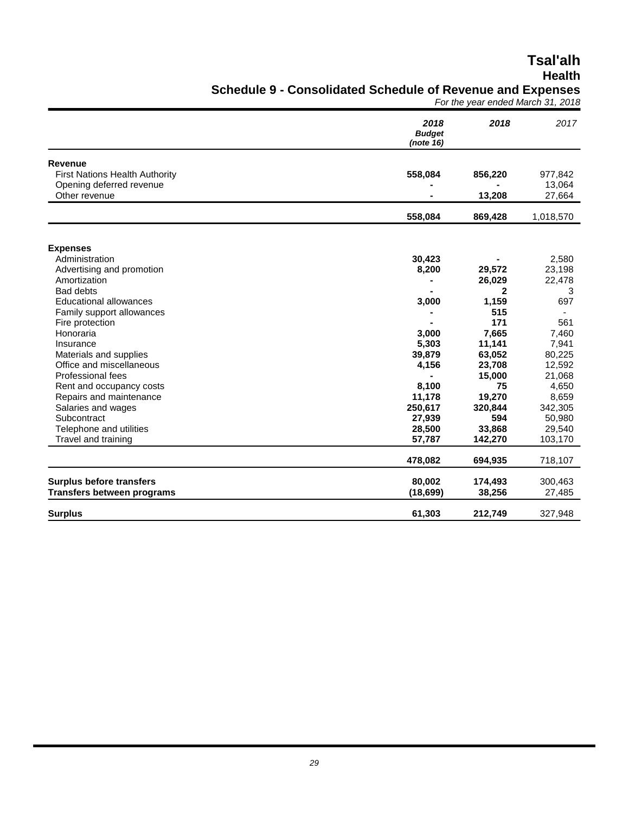# **Tsal'alh Health Schedule 9 - Consolidated Schedule of Revenue and Expenses**

|                                           | 2018<br><b>Budget</b><br>(note 16) | 2018    | 2017      |
|-------------------------------------------|------------------------------------|---------|-----------|
| <b>Revenue</b>                            |                                    |         |           |
| <b>First Nations Health Authority</b>     | 558,084                            | 856,220 | 977,842   |
| Opening deferred revenue                  |                                    |         | 13,064    |
| Other revenue                             |                                    | 13,208  | 27,664    |
|                                           | 558,084                            | 869,428 | 1,018,570 |
|                                           |                                    |         |           |
| <b>Expenses</b><br>Administration         | 30,423                             |         | 2,580     |
|                                           | 8,200                              | 29,572  | 23,198    |
| Advertising and promotion<br>Amortization |                                    | 26,029  | 22,478    |
| <b>Bad debts</b>                          |                                    | 2       | 3         |
| <b>Educational allowances</b>             | 3,000                              | 1,159   | 697       |
| Family support allowances                 |                                    | 515     |           |
| Fire protection                           |                                    | 171     | 561       |
| Honoraria                                 | 3,000                              | 7,665   | 7,460     |
| Insurance                                 | 5,303                              | 11,141  | 7,941     |
| Materials and supplies                    | 39,879                             | 63,052  | 80,225    |
| Office and miscellaneous                  | 4,156                              | 23,708  | 12,592    |
| Professional fees                         |                                    | 15,000  | 21,068    |
| Rent and occupancy costs                  | 8,100                              | 75      | 4,650     |
| Repairs and maintenance                   | 11,178                             | 19,270  | 8,659     |
| Salaries and wages                        | 250,617                            | 320,844 | 342,305   |
| Subcontract                               | 27,939                             | 594     | 50,980    |
| Telephone and utilities                   | 28,500                             | 33,868  | 29,540    |
| Travel and training                       | 57,787                             | 142,270 | 103,170   |
|                                           | 478,082                            | 694,935 | 718,107   |
| <b>Surplus before transfers</b>           | 80,002                             | 174,493 | 300,463   |
| <b>Transfers between programs</b>         | (18, 699)                          | 38,256  | 27,485    |
| <b>Surplus</b>                            | 61,303                             | 212.749 | 327,948   |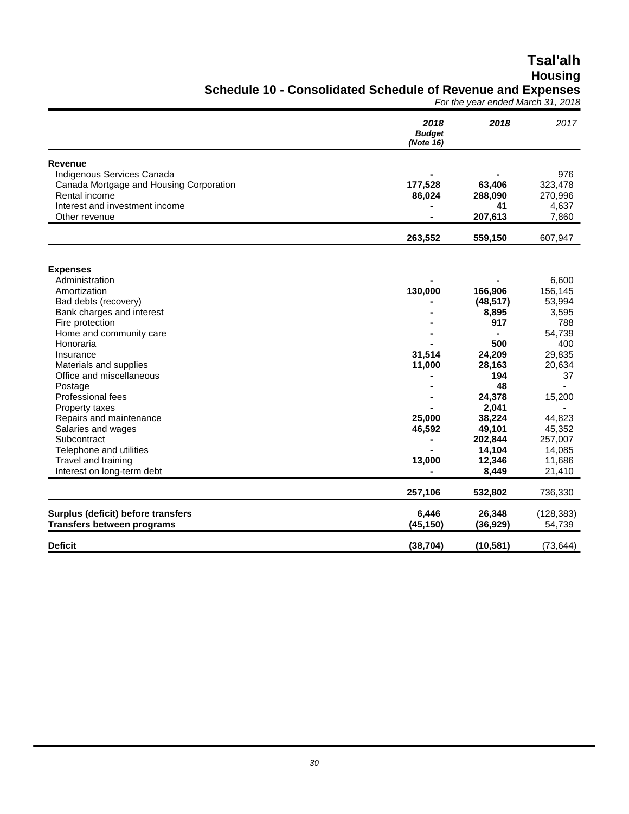# **Tsal'alh Housing Schedule 10 - Consolidated Schedule of Revenue and Expenses**

|                                         | 2018<br><b>Budget</b><br>(Note 16) | 2018      | 2017       |
|-----------------------------------------|------------------------------------|-----------|------------|
| Revenue                                 |                                    |           |            |
| Indigenous Services Canada              |                                    |           | 976        |
| Canada Mortgage and Housing Corporation | 177,528                            | 63,406    | 323,478    |
| Rental income                           | 86,024                             | 288,090   | 270,996    |
| Interest and investment income          |                                    | 41        | 4,637      |
| Other revenue                           |                                    | 207,613   | 7,860      |
|                                         | 263,552                            | 559,150   | 607,947    |
|                                         |                                    |           |            |
| <b>Expenses</b>                         |                                    |           |            |
| Administration                          |                                    |           | 6,600      |
| Amortization                            | 130,000                            | 166,906   | 156,145    |
| Bad debts (recovery)                    |                                    | (48, 517) | 53,994     |
| Bank charges and interest               |                                    | 8,895     | 3,595      |
| Fire protection                         |                                    | 917       | 788        |
| Home and community care                 |                                    |           | 54,739     |
| Honoraria                               |                                    | 500       | 400        |
| Insurance                               | 31,514                             | 24,209    | 29,835     |
| Materials and supplies                  | 11,000                             | 28,163    | 20,634     |
| Office and miscellaneous                |                                    | 194       | 37         |
| Postage                                 |                                    | 48        |            |
| Professional fees                       |                                    | 24,378    | 15,200     |
| Property taxes                          |                                    | 2,041     |            |
| Repairs and maintenance                 | 25,000                             | 38,224    | 44,823     |
| Salaries and wages                      | 46,592                             | 49,101    | 45,352     |
| Subcontract                             |                                    | 202,844   | 257,007    |
| Telephone and utilities                 |                                    | 14,104    | 14,085     |
| Travel and training                     | 13,000                             | 12,346    | 11,686     |
| Interest on long-term debt              |                                    | 8,449     | 21,410     |
|                                         | 257,106                            | 532,802   | 736,330    |
| Surplus (deficit) before transfers      | 6,446                              | 26,348    | (128, 383) |
| <b>Transfers between programs</b>       | (45, 150)                          | (36, 929) | 54,739     |
| <b>Deficit</b>                          | (38, 704)                          | (10, 581) | (73, 644)  |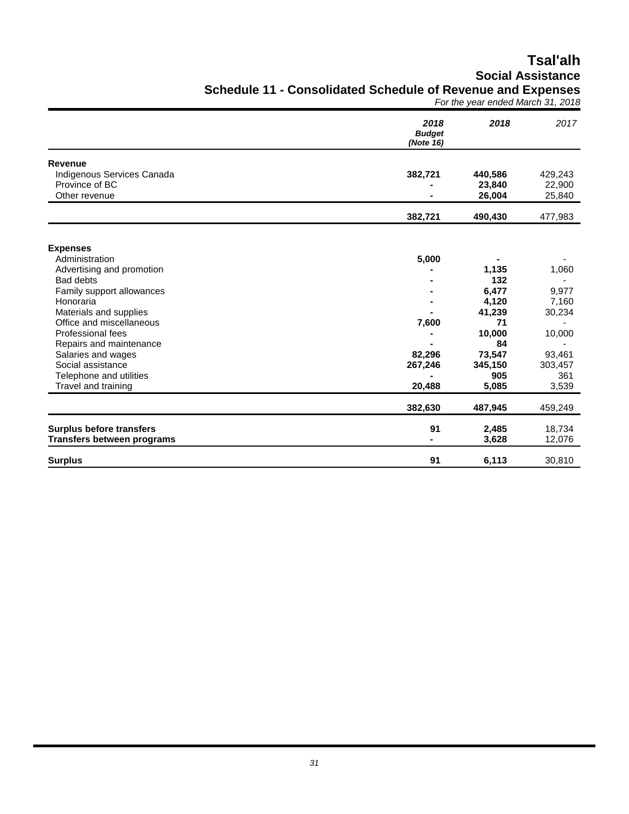**Tsal'alh Social Assistance**

**Schedule 11 - Consolidated Schedule of Revenue and Expenses**

|                                   | 2018<br><b>Budget</b><br>(Note 16) | 2018    | 2017    |
|-----------------------------------|------------------------------------|---------|---------|
| <b>Revenue</b>                    |                                    |         |         |
| Indigenous Services Canada        | 382,721                            | 440,586 | 429,243 |
| Province of BC                    |                                    | 23,840  | 22,900  |
| Other revenue                     |                                    | 26,004  | 25,840  |
|                                   | 382,721                            | 490,430 | 477,983 |
|                                   |                                    |         |         |
| <b>Expenses</b>                   |                                    |         |         |
| Administration                    | 5,000                              |         |         |
| Advertising and promotion         |                                    | 1,135   | 1,060   |
| Bad debts                         |                                    | 132     |         |
| Family support allowances         |                                    | 6,477   | 9,977   |
| Honoraria                         |                                    | 4,120   | 7,160   |
| Materials and supplies            |                                    | 41,239  | 30,234  |
| Office and miscellaneous          | 7,600                              | 71      |         |
| Professional fees                 |                                    | 10,000  | 10,000  |
| Repairs and maintenance           |                                    | 84      |         |
| Salaries and wages                | 82,296                             | 73,547  | 93,461  |
| Social assistance                 | 267,246                            | 345,150 | 303,457 |
| Telephone and utilities           |                                    | 905     | 361     |
| Travel and training               | 20,488                             | 5,085   | 3,539   |
|                                   | 382,630                            | 487,945 | 459,249 |
| <b>Surplus before transfers</b>   | 91                                 | 2,485   | 18,734  |
| <b>Transfers between programs</b> |                                    | 3,628   | 12,076  |
| <b>Surplus</b>                    | 91                                 | 6.113   | 30,810  |